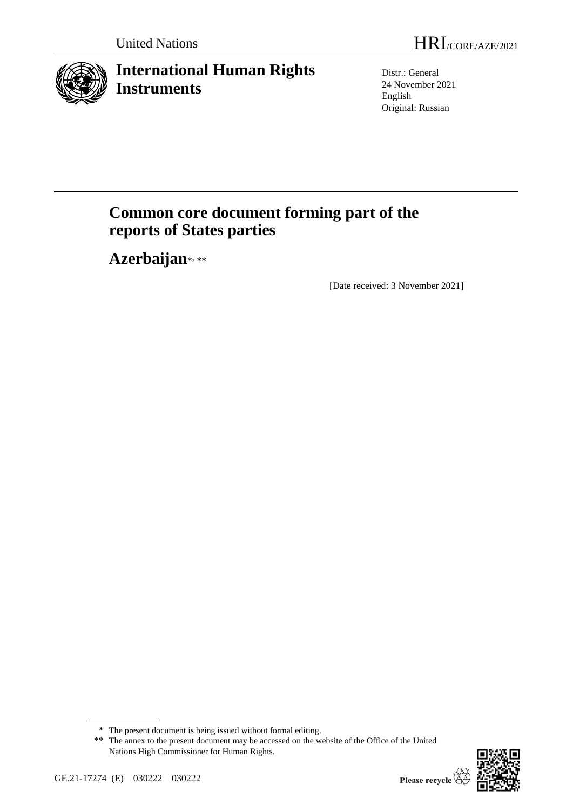

# **International Human Rights Instruments**

Distr.: General 24 November 2021 English Original: Russian

# **Common core document forming part of the reports of States parties**

Azerbaijan\*,\*\*

[Date received: 3 November 2021]

<sup>\*\*</sup> The annex to the present document may be accessed on the website of the Office of the United Nations High Commissioner for Human Rights.



<sup>\*</sup> The present document is being issued without formal editing.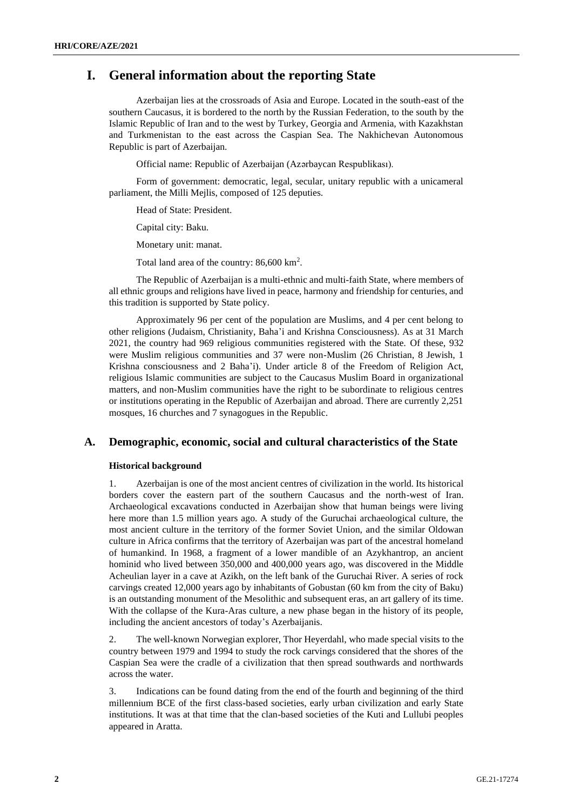# **I. General information about the reporting State**

Azerbaijan lies at the crossroads of Asia and Europe. Located in the south-east of the southern Caucasus, it is bordered to the north by the Russian Federation, to the south by the Islamic Republic of Iran and to the west by Turkey, Georgia and Armenia, with Kazakhstan and Turkmenistan to the east across the Caspian Sea. The Nakhichevan Autonomous Republic is part of Azerbaijan.

Official name: Republic of Azerbaijan (Azərbaycan Respublikası).

Form of government: democratic, legal, secular, unitary republic with a unicameral parliament, the Milli Mejlis, composed of 125 deputies.

Head of State: President.

Capital city: Baku.

Monetary unit: manat.

Total land area of the country: 86,600 km<sup>2</sup>.

The Republic of Azerbaijan is a multi-ethnic and multi-faith State, where members of all ethnic groups and religions have lived in peace, harmony and friendship for centuries, and this tradition is supported by State policy.

Approximately 96 per cent of the population are Muslims, and 4 per cent belong to other religions (Judaism, Christianity, Baha'i and Krishna Consciousness). As at 31 March 2021, the country had 969 religious communities registered with the State. Of these, 932 were Muslim religious communities and 37 were non-Muslim (26 Christian, 8 Jewish, 1 Krishna consciousness and 2 Baha'i). Under article 8 of the Freedom of Religion Act, religious Islamic communities are subject to the Caucasus Muslim Board in organizational matters, and non-Muslim communities have the right to be subordinate to religious centres or institutions operating in the Republic of Azerbaijan and abroad. There are currently 2,251 mosques, 16 churches and 7 synagogues in the Republic.

# **A. Demographic, economic, social and cultural characteristics of the State**

#### **Historical background**

1. Azerbaijan is one of the most ancient centres of civilization in the world. Its historical borders cover the eastern part of the southern Caucasus and the north-west of Iran. Archaeological excavations conducted in Azerbaijan show that human beings were living here more than 1.5 million years ago. A study of the Guruchai archaeological culture, the most ancient culture in the territory of the former Soviet Union, and the similar Oldowan culture in Africa confirms that the territory of Azerbaijan was part of the ancestral homeland of humankind. In 1968, a fragment of a lower mandible of an Azykhantrop, an ancient hominid who lived between 350,000 and 400,000 years ago, was discovered in the Middle Acheulian layer in a cave at Azikh, on the left bank of the Guruchai River. A series of rock carvings created 12,000 years ago by inhabitants of Gobustan (60 km from the city of Baku) is an outstanding monument of the Mesolithic and subsequent eras, an art gallery of its time. With the collapse of the Kura-Aras culture, a new phase began in the history of its people, including the ancient ancestors of today's Azerbaijanis.

2. The well-known Norwegian explorer, Thor Heyerdahl, who made special visits to the country between 1979 and 1994 to study the rock carvings considered that the shores of the Caspian Sea were the cradle of a civilization that then spread southwards and northwards across the water.

3. Indications can be found dating from the end of the fourth and beginning of the third millennium BCE of the first class-based societies, early urban civilization and early State institutions. It was at that time that the clan-based societies of the Kuti and Lullubi peoples appeared in Aratta.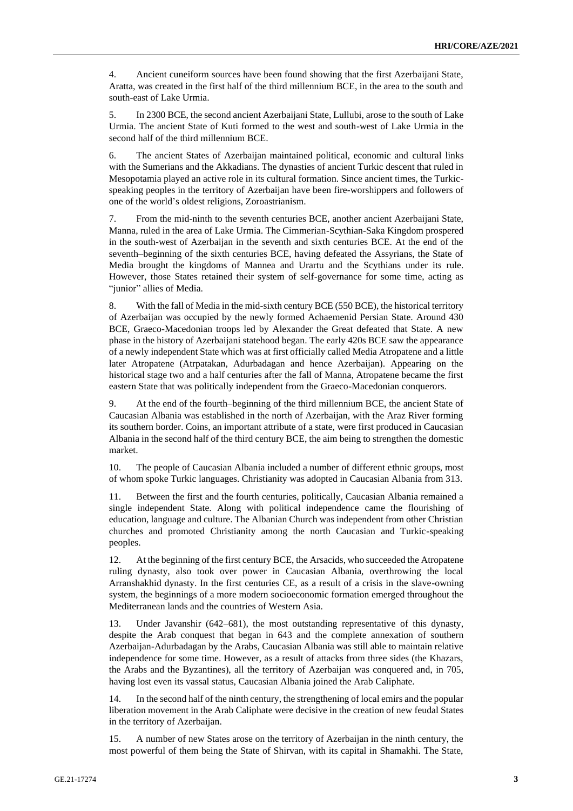4. Ancient cuneiform sources have been found showing that the first Azerbaijani State, Aratta, was created in the first half of the third millennium BCE, in the area to the south and south-east of Lake Urmia.

5. In 2300 BCE, the second ancient Azerbaijani State, Lullubi, arose to the south of Lake Urmia. The ancient State of Kuti formed to the west and south-west of Lake Urmia in the second half of the third millennium BCE.

6. The ancient States of Azerbaijan maintained political, economic and cultural links with the Sumerians and the Akkadians. The dynasties of ancient Turkic descent that ruled in Mesopotamia played an active role in its cultural formation. Since ancient times, the Turkicspeaking peoples in the territory of Azerbaijan have been fire-worshippers and followers of one of the world's oldest religions, Zoroastrianism.

7. From the mid-ninth to the seventh centuries BCE, another ancient Azerbaijani State, Manna, ruled in the area of Lake Urmia. The Cimmerian-Scythian-Saka Kingdom prospered in the south-west of Azerbaijan in the seventh and sixth centuries BCE. At the end of the seventh–beginning of the sixth centuries BCE, having defeated the Assyrians, the State of Media brought the kingdoms of Mannea and Urartu and the Scythians under its rule. However, those States retained their system of self-governance for some time, acting as "junior" allies of Media.

8. With the fall of Media in the mid-sixth century BCE (550 BCE), the historical territory of Azerbaijan was occupied by the newly formed Achaemenid Persian State. Around 430 BCE, Graeco-Macedonian troops led by Alexander the Great defeated that State. A new phase in the history of Azerbaijani statehood began. The early 420s BCE saw the appearance of a newly independent State which was at first officially called Media Atropatene and a little later Atropatene (Atrpatakan, Adurbadagan and hence Azerbaijan). Appearing on the historical stage two and a half centuries after the fall of Manna, Atropatene became the first eastern State that was politically independent from the Graeco-Macedonian conquerors.

9. At the end of the fourth–beginning of the third millennium BCE, the ancient State of Caucasian Albania was established in the north of Azerbaijan, with the Araz River forming its southern border. Coins, an important attribute of a state, were first produced in Caucasian Albania in the second half of the third century BCE, the aim being to strengthen the domestic market.

10. The people of Caucasian Albania included a number of different ethnic groups, most of whom spoke Turkic languages. Christianity was adopted in Caucasian Albania from 313.

11. Between the first and the fourth centuries, politically, Caucasian Albania remained a single independent State. Along with political independence came the flourishing of education, language and culture. The Albanian Church was independent from other Christian churches and promoted Christianity among the north Caucasian and Turkic-speaking peoples.

12. At the beginning of the first century BCE, the Arsacids, who succeeded the Atropatene ruling dynasty, also took over power in Caucasian Albania, overthrowing the local Arranshakhid dynasty. In the first centuries CE, as a result of a crisis in the slave-owning system, the beginnings of a more modern socioeconomic formation emerged throughout the Mediterranean lands and the countries of Western Asia.

13. Under Javanshir (642–681), the most outstanding representative of this dynasty, despite the Arab conquest that began in 643 and the complete annexation of southern Azerbaijan-Adurbadagan by the Arabs, Caucasian Albania was still able to maintain relative independence for some time. However, as a result of attacks from three sides (the Khazars, the Arabs and the Byzantines), all the territory of Azerbaijan was conquered and, in 705, having lost even its vassal status, Caucasian Albania joined the Arab Caliphate.

14. In the second half of the ninth century, the strengthening of local emirs and the popular liberation movement in the Arab Caliphate were decisive in the creation of new feudal States in the territory of Azerbaijan.

15. A number of new States arose on the territory of Azerbaijan in the ninth century, the most powerful of them being the State of Shirvan, with its capital in Shamakhi. The State,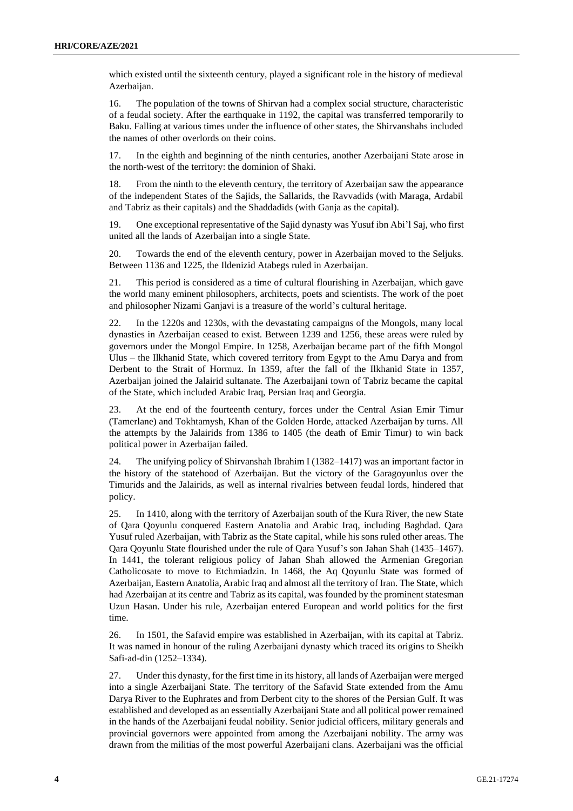which existed until the sixteenth century, played a significant role in the history of medieval Azerbaijan.

16. The population of the towns of Shirvan had a complex social structure, characteristic of a feudal society. After the earthquake in 1192, the capital was transferred temporarily to Baku. Falling at various times under the influence of other states, the Shirvanshahs included the names of other overlords on their coins.

17. In the eighth and beginning of the ninth centuries, another Azerbaijani State arose in the north-west of the territory: the dominion of Shaki.

18. From the ninth to the eleventh century, the territory of Azerbaijan saw the appearance of the independent States of the Sajids, the Sallarids, the Ravvadids (with Maraga, Ardabil and Tabriz as their capitals) and the Shaddadids (with Ganja as the capital).

19. One exceptional representative of the Sajid dynasty was Yusuf ibn Abi'l Saj, who first united all the lands of Azerbaijan into a single State.

20. Towards the end of the eleventh century, power in Azerbaijan moved to the Seljuks. Between 1136 and 1225, the Ildenizid Atabegs ruled in Azerbaijan.

21. This period is considered as a time of cultural flourishing in Azerbaijan, which gave the world many eminent philosophers, architects, poets and scientists. The work of the poet and philosopher Nizami Ganjavi is a treasure of the world's cultural heritage.

22. In the 1220s and 1230s, with the devastating campaigns of the Mongols, many local dynasties in Azerbaijan ceased to exist. Between 1239 and 1256, these areas were ruled by governors under the Mongol Empire. In 1258, Azerbaijan became part of the fifth Mongol Ulus – the Ilkhanid State, which covered territory from Egypt to the Amu Darya and from Derbent to the Strait of Hormuz. In 1359, after the fall of the Ilkhanid State in 1357, Azerbaijan joined the Jalairid sultanate. The Azerbaijani town of Tabriz became the capital of the State, which included Arabic Iraq, Persian Iraq and Georgia.

23. At the end of the fourteenth century, forces under the Central Asian Emir Timur (Tamerlane) and Tokhtamysh, Khan of the Golden Horde, attacked Azerbaijan by turns. All the attempts by the Jalairids from 1386 to 1405 (the death of Emir Timur) to win back political power in Azerbaijan failed.

24. The unifying policy of Shirvanshah Ibrahim I (1382–1417) was an important factor in the history of the statehood of Azerbaijan. But the victory of the Garagoyunlus over the Timurids and the Jalairids, as well as internal rivalries between feudal lords, hindered that policy.

25. In 1410, along with the territory of Azerbaijan south of the Kura River, the new State of Qara Qoyunlu conquered Eastern Anatolia and Arabic Iraq, including Baghdad. Qara Yusuf ruled Azerbaijan, with Tabriz as the State capital, while his sons ruled other areas. The Qara Qoyunlu State flourished under the rule of Qara Yusuf's son Jahan Shah (1435–1467). In 1441, the tolerant religious policy of Jahan Shah allowed the Armenian Gregorian Catholicosate to move to Etchmiadzin. In 1468, the Aq Qoyunlu State was formed of Azerbaijan, Eastern Anatolia, Arabic Iraq and almost all the territory of Iran. The State, which had Azerbaijan at its centre and Tabriz as its capital, was founded by the prominent statesman Uzun Hasan. Under his rule, Azerbaijan entered European and world politics for the first time.

26. In 1501, the Safavid empire was established in Azerbaijan, with its capital at Tabriz. It was named in honour of the ruling Azerbaijani dynasty which traced its origins to Sheikh Safi-ad-din (1252–1334).

27. Under this dynasty, for the first time in its history, all lands of Azerbaijan were merged into a single Azerbaijani State. The territory of the Safavid State extended from the Amu Darya River to the Euphrates and from Derbent city to the shores of the Persian Gulf. It was established and developed as an essentially Azerbaijani State and all political power remained in the hands of the Azerbaijani feudal nobility. Senior judicial officers, military generals and provincial governors were appointed from among the Azerbaijani nobility. The army was drawn from the militias of the most powerful Azerbaijani clans. Azerbaijani was the official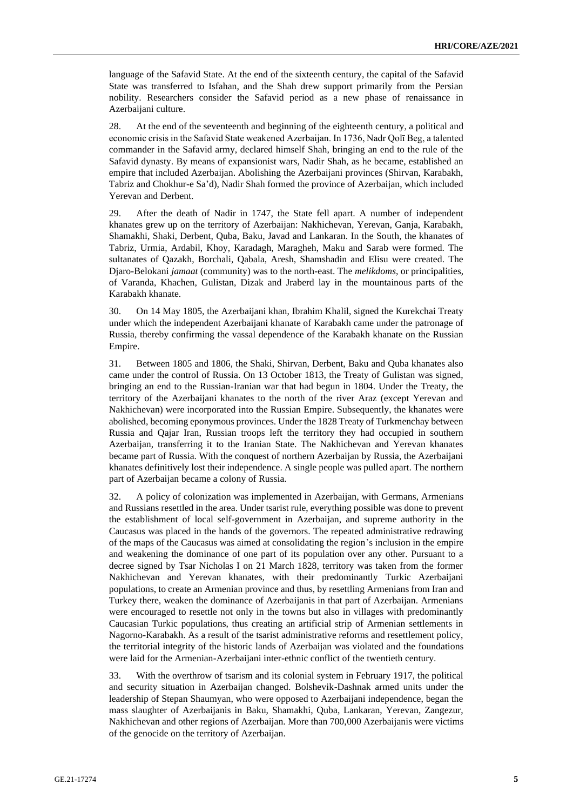language of the Safavid State. At the end of the sixteenth century, the capital of the Safavid State was transferred to Isfahan, and the Shah drew support primarily from the Persian nobility. Researchers consider the Safavid period as a new phase of renaissance in Azerbaijani culture.

28. At the end of the seventeenth and beginning of the eighteenth century, a political and economic crisis in the Safavid State weakened Azerbaijan. In 1736, Nadr Qolī Beg, a talented commander in the Safavid army, declared himself Shah, bringing an end to the rule of the Safavid dynasty. By means of expansionist wars, Nadir Shah, as he became, established an empire that included Azerbaijan. Abolishing the Azerbaijani provinces (Shirvan, Karabakh, Tabriz and Chokhur-e Sa'd), Nadir Shah formed the province of Azerbaijan, which included Yerevan and Derbent.

29. After the death of Nadir in 1747, the State fell apart. A number of independent khanates grew up on the territory of Azerbaijan: Nakhichevan, Yerevan, Ganja, Karabakh, Shamakhi, Shaki, Derbent, Quba, Baku, Javad and Lankaran. In the South, the khanates of Tabriz, Urmia, Ardabil, Khoy, Karadagh, Maragheh, Maku and Sarab were formed. The sultanates of Qazakh, Borchali, Qabala, Aresh, Shamshadin and Elisu were created. The Djaro-Belokani *jamaat* (community) was to the north-east. The *melikdoms*, or principalities, of Varanda, Khachen, Gulistan, Dizak and Jraberd lay in the mountainous parts of the Karabakh khanate.

30. On 14 May 1805, the Azerbaijani khan, Ibrahim Khalil, signed the Kurekchai Treaty under which the independent Azerbaijani khanate of Karabakh came under the patronage of Russia, thereby confirming the vassal dependence of the Karabakh khanate on the Russian Empire.

31. Between 1805 and 1806, the Shaki, Shirvan, Derbent, Baku and Quba khanates also came under the control of Russia. On 13 October 1813, the Treaty of Gulistan was signed, bringing an end to the Russian-Iranian war that had begun in 1804. Under the Treaty, the territory of the Azerbaijani khanates to the north of the river Araz (except Yerevan and Nakhichevan) were incorporated into the Russian Empire. Subsequently, the khanates were abolished, becoming eponymous provinces. Under the 1828 Treaty of Turkmenchay between Russia and Qajar Iran, Russian troops left the territory they had occupied in southern Azerbaijan, transferring it to the Iranian State. The Nakhichevan and Yerevan khanates became part of Russia. With the conquest of northern Azerbaijan by Russia, the Azerbaijani khanates definitively lost their independence. A single people was pulled apart. The northern part of Azerbaijan became a colony of Russia.

32. A policy of colonization was implemented in Azerbaijan, with Germans, Armenians and Russians resettled in the area. Under tsarist rule, everything possible was done to prevent the establishment of local self-government in Azerbaijan, and supreme authority in the Caucasus was placed in the hands of the governors. The repeated administrative redrawing of the maps of the Caucasus was aimed at consolidating the region's inclusion in the empire and weakening the dominance of one part of its population over any other. Pursuant to a decree signed by Tsar Nicholas I on 21 March 1828, territory was taken from the former Nakhichevan and Yerevan khanates, with their predominantly Turkic Azerbaijani populations, to create an Armenian province and thus, by resettling Armenians from Iran and Turkey there, weaken the dominance of Azerbaijanis in that part of Azerbaijan. Armenians were encouraged to resettle not only in the towns but also in villages with predominantly Caucasian Turkic populations, thus creating an artificial strip of Armenian settlements in Nagorno-Karabakh. As a result of the tsarist administrative reforms and resettlement policy, the territorial integrity of the historic lands of Azerbaijan was violated and the foundations were laid for the Armenian-Azerbaijani inter-ethnic conflict of the twentieth century.

33. With the overthrow of tsarism and its colonial system in February 1917, the political and security situation in Azerbaijan changed. Bolshevik-Dashnak armed units under the leadership of Stepan Shaumyan, who were opposed to Azerbaijani independence, began the mass slaughter of Azerbaijanis in Baku, Shamakhi, Quba, Lankaran, Yerevan, Zangezur, Nakhichevan and other regions of Azerbaijan. More than 700,000 Azerbaijanis were victims of the genocide on the territory of Azerbaijan.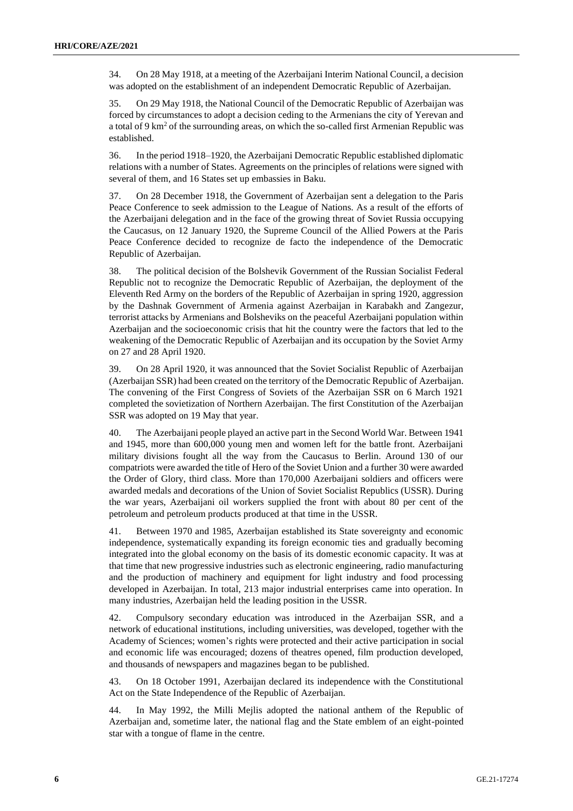34. On 28 May 1918, at a meeting of the Azerbaijani Interim National Council, a decision was adopted on the establishment of an independent Democratic Republic of Azerbaijan.

35. On 29 May 1918, the National Council of the Democratic Republic of Azerbaijan was forced by circumstances to adopt a decision ceding to the Armenians the city of Yerevan and a total of 9 km<sup>2</sup> of the surrounding areas, on which the so-called first Armenian Republic was established.

36. In the period 1918–1920, the Azerbaijani Democratic Republic established diplomatic relations with a number of States. Agreements on the principles of relations were signed with several of them, and 16 States set up embassies in Baku.

37. On 28 December 1918, the Government of Azerbaijan sent a delegation to the Paris Peace Conference to seek admission to the League of Nations. As a result of the efforts of the Azerbaijani delegation and in the face of the growing threat of Soviet Russia occupying the Caucasus, on 12 January 1920, the Supreme Council of the Allied Powers at the Paris Peace Conference decided to recognize de facto the independence of the Democratic Republic of Azerbaijan.

38. The political decision of the Bolshevik Government of the Russian Socialist Federal Republic not to recognize the Democratic Republic of Azerbaijan, the deployment of the Eleventh Red Army on the borders of the Republic of Azerbaijan in spring 1920, aggression by the Dashnak Government of Armenia against Azerbaijan in Karabakh and Zangezur, terrorist attacks by Armenians and Bolsheviks on the peaceful Azerbaijani population within Azerbaijan and the socioeconomic crisis that hit the country were the factors that led to the weakening of the Democratic Republic of Azerbaijan and its occupation by the Soviet Army on 27 and 28 April 1920.

39. On 28 April 1920, it was announced that the Soviet Socialist Republic of Azerbaijan (Azerbaijan SSR) had been created on the territory of the Democratic Republic of Azerbaijan. The convening of the First Congress of Soviets of the Azerbaijan SSR on 6 March 1921 completed the sovietization of Northern Azerbaijan. The first Constitution of the Azerbaijan SSR was adopted on 19 May that year.

40. The Azerbaijani people played an active part in the Second World War. Between 1941 and 1945, more than 600,000 young men and women left for the battle front. Azerbaijani military divisions fought all the way from the Caucasus to Berlin. Around 130 of our compatriots were awarded the title of Hero of the Soviet Union and a further 30 were awarded the Order of Glory, third class. More than 170,000 Azerbaijani soldiers and officers were awarded medals and decorations of the Union of Soviet Socialist Republics (USSR). During the war years, Azerbaijani oil workers supplied the front with about 80 per cent of the petroleum and petroleum products produced at that time in the USSR.

41. Between 1970 and 1985, Azerbaijan established its State sovereignty and economic independence, systematically expanding its foreign economic ties and gradually becoming integrated into the global economy on the basis of its domestic economic capacity. It was at that time that new progressive industries such as electronic engineering, radio manufacturing and the production of machinery and equipment for light industry and food processing developed in Azerbaijan. In total, 213 major industrial enterprises came into operation. In many industries, Azerbaijan held the leading position in the USSR.

42. Compulsory secondary education was introduced in the Azerbaijan SSR, and a network of educational institutions, including universities, was developed, together with the Academy of Sciences; women's rights were protected and their active participation in social and economic life was encouraged; dozens of theatres opened, film production developed, and thousands of newspapers and magazines began to be published.

43. On 18 October 1991, Azerbaijan declared its independence with the Constitutional Act on the State Independence of the Republic of Azerbaijan.

44. In May 1992, the Milli Mejlis adopted the national anthem of the Republic of Azerbaijan and, sometime later, the national flag and the State emblem of an eight-pointed star with a tongue of flame in the centre.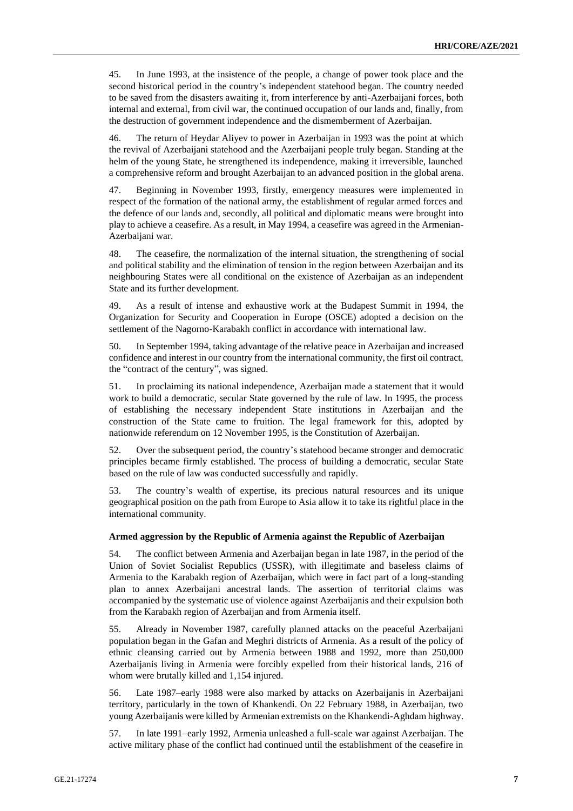45. In June 1993, at the insistence of the people, a change of power took place and the second historical period in the country's independent statehood began. The country needed to be saved from the disasters awaiting it, from interference by anti-Azerbaijani forces, both internal and external, from civil war, the continued occupation of our lands and, finally, from the destruction of government independence and the dismemberment of Azerbaijan.

46. The return of Heydar Aliyev to power in Azerbaijan in 1993 was the point at which the revival of Azerbaijani statehood and the Azerbaijani people truly began. Standing at the helm of the young State, he strengthened its independence, making it irreversible, launched a comprehensive reform and brought Azerbaijan to an advanced position in the global arena.

47. Beginning in November 1993, firstly, emergency measures were implemented in respect of the formation of the national army, the establishment of regular armed forces and the defence of our lands and, secondly, all political and diplomatic means were brought into play to achieve a ceasefire. As a result, in May 1994, a ceasefire was agreed in the Armenian-Azerbaijani war.

48. The ceasefire, the normalization of the internal situation, the strengthening of social and political stability and the elimination of tension in the region between Azerbaijan and its neighbouring States were all conditional on the existence of Azerbaijan as an independent State and its further development.

49. As a result of intense and exhaustive work at the Budapest Summit in 1994, the Organization for Security and Cooperation in Europe (OSCE) adopted a decision on the settlement of the Nagorno-Karabakh conflict in accordance with international law.

50. In September 1994, taking advantage of the relative peace in Azerbaijan and increased confidence and interest in our country from the international community, the first oil contract, the "contract of the century", was signed.

51. In proclaiming its national independence, Azerbaijan made a statement that it would work to build a democratic, secular State governed by the rule of law. In 1995, the process of establishing the necessary independent State institutions in Azerbaijan and the construction of the State came to fruition. The legal framework for this, adopted by nationwide referendum on 12 November 1995, is the Constitution of Azerbaijan.

52. Over the subsequent period, the country's statehood became stronger and democratic principles became firmly established. The process of building a democratic, secular State based on the rule of law was conducted successfully and rapidly.

53. The country's wealth of expertise, its precious natural resources and its unique geographical position on the path from Europe to Asia allow it to take its rightful place in the international community.

#### **Armed aggression by the Republic of Armenia against the Republic of Azerbaijan**

54. The conflict between Armenia and Azerbaijan began in late 1987, in the period of the Union of Soviet Socialist Republics (USSR), with illegitimate and baseless claims of Armenia to the Karabakh region of Azerbaijan, which were in fact part of a long-standing plan to annex Azerbaijani ancestral lands. The assertion of territorial claims was accompanied by the systematic use of violence against Azerbaijanis and their expulsion both from the Karabakh region of Azerbaijan and from Armenia itself.

55. Already in November 1987, carefully planned attacks on the peaceful Azerbaijani population began in the Gafan and Meghri districts of Armenia. As a result of the policy of ethnic cleansing carried out by Armenia between 1988 and 1992, more than 250,000 Azerbaijanis living in Armenia were forcibly expelled from their historical lands, 216 of whom were brutally killed and 1,154 injured.

56. Late 1987–early 1988 were also marked by attacks on Azerbaijanis in Azerbaijani territory, particularly in the town of Khankendi. On 22 February 1988, in Azerbaijan, two young Azerbaijanis were killed by Armenian extremists on the Khankendi-Aghdam highway.

57. In late 1991–early 1992, Armenia unleashed a full-scale war against Azerbaijan. The active military phase of the conflict had continued until the establishment of the ceasefire in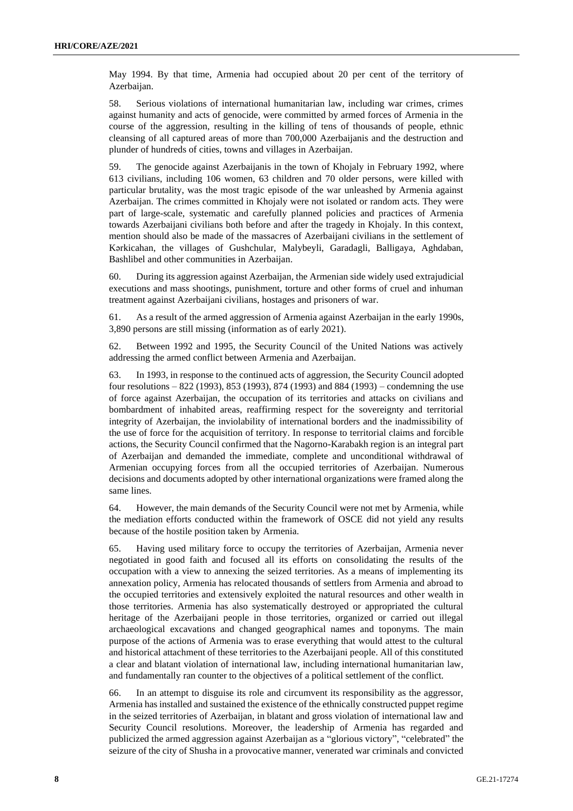May 1994. By that time, Armenia had occupied about 20 per cent of the territory of Azerbaijan.

58. Serious violations of international humanitarian law, including war crimes, crimes against humanity and acts of genocide, were committed by armed forces of Armenia in the course of the aggression, resulting in the killing of tens of thousands of people, ethnic cleansing of all captured areas of more than 700,000 Azerbaijanis and the destruction and plunder of hundreds of cities, towns and villages in Azerbaijan.

59. The genocide against Azerbaijanis in the town of Khojaly in February 1992, where 613 civilians, including 106 women, 63 children and 70 older persons, were killed with particular brutality, was the most tragic episode of the war unleashed by Armenia against Azerbaijan. The crimes committed in Khojaly were not isolated or random acts. They were part of large-scale, systematic and carefully planned policies and practices of Armenia towards Azerbaijani civilians both before and after the tragedy in Khojaly. In this context, mention should also be made of the massacres of Azerbaijani civilians in the settlement of Kərkicahan, the villages of Gushchular, Malybeyli, Garadagli, Balligaya, Aghdaban, Bashlibel and other communities in Azerbaijan.

60. During its aggression against Azerbaijan, the Armenian side widely used extrajudicial executions and mass shootings, punishment, torture and other forms of cruel and inhuman treatment against Azerbaijani civilians, hostages and prisoners of war.

61. As a result of the armed aggression of Armenia against Azerbaijan in the early 1990s, 3,890 persons are still missing (information as of early 2021).

62. Between 1992 and 1995, the Security Council of the United Nations was actively addressing the armed conflict between Armenia and Azerbaijan.

63. In 1993, in response to the continued acts of aggression, the Security Council adopted four resolutions – 822 (1993), 853 (1993), 874 (1993) and 884 (1993) – condemning the use of force against Azerbaijan, the occupation of its territories and attacks on civilians and bombardment of inhabited areas, reaffirming respect for the sovereignty and territorial integrity of Azerbaijan, the inviolability of international borders and the inadmissibility of the use of force for the acquisition of territory. In response to territorial claims and forcible actions, the Security Council confirmed that the Nagorno-Karabakh region is an integral part of Azerbaijan and demanded the immediate, complete and unconditional withdrawal of Armenian occupying forces from all the occupied territories of Azerbaijan. Numerous decisions and documents adopted by other international organizations were framed along the same lines.

64. However, the main demands of the Security Council were not met by Armenia, while the mediation efforts conducted within the framework of OSCE did not yield any results because of the hostile position taken by Armenia.

65. Having used military force to occupy the territories of Azerbaijan, Armenia never negotiated in good faith and focused all its efforts on consolidating the results of the occupation with a view to annexing the seized territories. As a means of implementing its annexation policy, Armenia has relocated thousands of settlers from Armenia and abroad to the occupied territories and extensively exploited the natural resources and other wealth in those territories. Armenia has also systematically destroyed or appropriated the cultural heritage of the Azerbaijani people in those territories, organized or carried out illegal archaeological excavations and changed geographical names and toponyms. The main purpose of the actions of Armenia was to erase everything that would attest to the cultural and historical attachment of these territories to the Azerbaijani people. All of this constituted a clear and blatant violation of international law, including international humanitarian law, and fundamentally ran counter to the objectives of a political settlement of the conflict.

66. In an attempt to disguise its role and circumvent its responsibility as the aggressor, Armenia has installed and sustained the existence of the ethnically constructed puppet regime in the seized territories of Azerbaijan, in blatant and gross violation of international law and Security Council resolutions. Moreover, the leadership of Armenia has regarded and publicized the armed aggression against Azerbaijan as a "glorious victory", "celebrated" the seizure of the city of Shusha in a provocative manner, venerated war criminals and convicted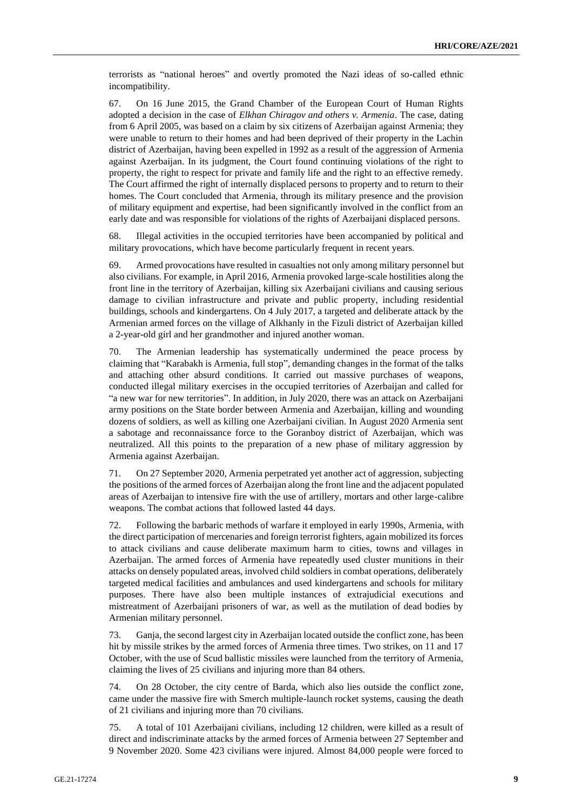terrorists as "national heroes" and overtly promoted the Nazi ideas of so-called ethnic incompatibility.

67. On 16 June 2015, the Grand Chamber of the European Court of Human Rights adopted a decision in the case of *Elkhan Chiragov and others v. Armenia*. The case, dating from 6 April 2005, was based on a claim by six citizens of Azerbaijan against Armenia; they were unable to return to their homes and had been deprived of their property in the Lachin district of Azerbaijan, having been expelled in 1992 as a result of the aggression of Armenia against Azerbaijan. In its judgment, the Court found continuing violations of the right to property, the right to respect for private and family life and the right to an effective remedy. The Court affirmed the right of internally displaced persons to property and to return to their homes. The Court concluded that Armenia, through its military presence and the provision of military equipment and expertise, had been significantly involved in the conflict from an early date and was responsible for violations of the rights of Azerbaijani displaced persons.

68. Illegal activities in the occupied territories have been accompanied by political and military provocations, which have become particularly frequent in recent years.

69. Armed provocations have resulted in casualties not only among military personnel but also civilians. For example, in April 2016, Armenia provoked large-scale hostilities along the front line in the territory of Azerbaijan, killing six Azerbaijani civilians and causing serious damage to civilian infrastructure and private and public property, including residential buildings, schools and kindergartens. On 4 July 2017, a targeted and deliberate attack by the Armenian armed forces on the village of Alkhanly in the Fizuli district of Azerbaijan killed a 2-year-old girl and her grandmother and injured another woman.

70. The Armenian leadership has systematically undermined the peace process by claiming that "Karabakh is Armenia, full stop", demanding changes in the format of the talks and attaching other absurd conditions. It carried out massive purchases of weapons, conducted illegal military exercises in the occupied territories of Azerbaijan and called for "a new war for new territories". In addition, in July 2020, there was an attack on Azerbaijani army positions on the State border between Armenia and Azerbaijan, killing and wounding dozens of soldiers, as well as killing one Azerbaijani civilian. In August 2020 Armenia sent a sabotage and reconnaissance force to the Goranboy district of Azerbaijan, which was neutralized. All this points to the preparation of a new phase of military aggression by Armenia against Azerbaijan.

71. On 27 September 2020, Armenia perpetrated yet another act of aggression, subjecting the positions of the armed forces of Azerbaijan along the front line and the adjacent populated areas of Azerbaijan to intensive fire with the use of artillery, mortars and other large-calibre weapons. The combat actions that followed lasted 44 days.

72. Following the barbaric methods of warfare it employed in early 1990s, Armenia, with the direct participation of mercenaries and foreign terrorist fighters, again mobilized its forces to attack civilians and cause deliberate maximum harm to cities, towns and villages in Azerbaijan. The armed forces of Armenia have repeatedly used cluster munitions in their attacks on densely populated areas, involved child soldiers in combat operations, deliberately targeted medical facilities and ambulances and used kindergartens and schools for military purposes. There have also been multiple instances of extrajudicial executions and mistreatment of Azerbaijani prisoners of war, as well as the mutilation of dead bodies by Armenian military personnel.

73. Ganja, the second largest city in Azerbaijan located outside the conflict zone, has been hit by missile strikes by the armed forces of Armenia three times. Two strikes, on 11 and 17 October, with the use of Scud ballistic missiles were launched from the territory of Armenia, claiming the lives of 25 civilians and injuring more than 84 others.

74. On 28 October, the city centre of Barda, which also lies outside the conflict zone, came under the massive fire with Smerch multiple-launch rocket systems, causing the death of 21 civilians and injuring more than 70 civilians.

75. A total of 101 Azerbaijani civilians, including 12 children, were killed as a result of direct and indiscriminate attacks by the armed forces of Armenia between 27 September and 9 November 2020. Some 423 civilians were injured. Almost 84,000 people were forced to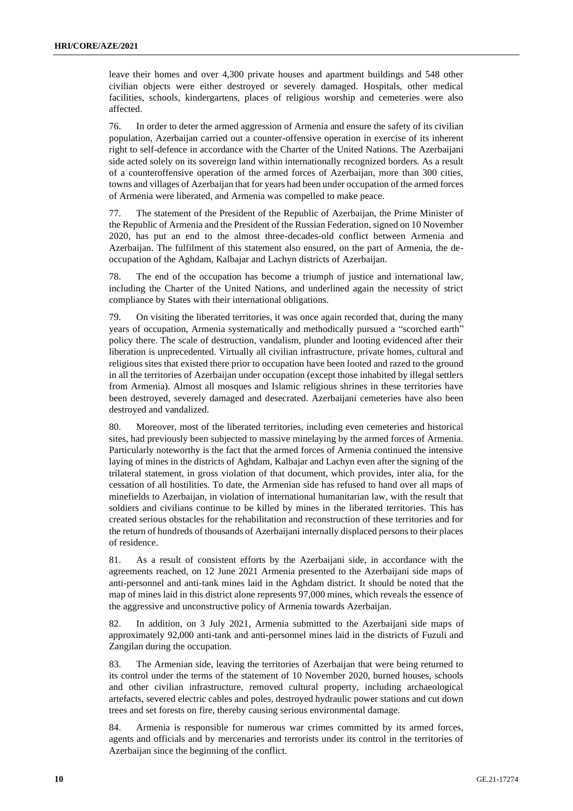leave their homes and over 4,300 private houses and apartment buildings and 548 other civilian objects were either destroyed or severely damaged. Hospitals, other medical facilities, schools, kindergartens, places of religious worship and cemeteries were also affected.

76. In order to deter the armed aggression of Armenia and ensure the safety of its civilian population, Azerbaijan carried out a counter-offensive operation in exercise of its inherent right to self-defence in accordance with the Charter of the United Nations. The Azerbaijani side acted solely on its sovereign land within internationally recognized borders. As a result of a counteroffensive operation of the armed forces of Azerbaijan, more than 300 cities, towns and villages of Azerbaijan that for years had been under occupation of the armed forces of Armenia were liberated, and Armenia was compelled to make peace.

77. The statement of the President of the Republic of Azerbaijan, the Prime Minister of the Republic of Armenia and the President of the Russian Federation, signed on 10 November 2020, has put an end to the almost three-decades-old conflict between Armenia and Azerbaijan. The fulfilment of this statement also ensured, on the part of Armenia, the deoccupation of the Aghdam, Kalbajar and Lachyn districts of Azerbaijan.

78. The end of the occupation has become a triumph of justice and international law, including the Charter of the United Nations, and underlined again the necessity of strict compliance by States with their international obligations.

79. On visiting the liberated territories, it was once again recorded that, during the many years of occupation, Armenia systematically and methodically pursued a "scorched earth" policy there. The scale of destruction, vandalism, plunder and looting evidenced after their liberation is unprecedented. Virtually all civilian infrastructure, private homes, cultural and religious sites that existed there prior to occupation have been looted and razed to the ground in all the territories of Azerbaijan under occupation (except those inhabited by illegal settlers from Armenia). Almost all mosques and Islamic religious shrines in these territories have been destroyed, severely damaged and desecrated. Azerbaijani cemeteries have also been destroyed and vandalized.

80. Moreover, most of the liberated territories, including even cemeteries and historical sites, had previously been subjected to massive minelaying by the armed forces of Armenia. Particularly noteworthy is the fact that the armed forces of Armenia continued the intensive laying of mines in the districts of Aghdam, Kalbajar and Lachyn even after the signing of the trilateral statement, in gross violation of that document, which provides, inter alia, for the cessation of all hostilities. To date, the Armenian side has refused to hand over all maps of minefields to Azerbaijan, in violation of international humanitarian law, with the result that soldiers and civilians continue to be killed by mines in the liberated territories. This has created serious obstacles for the rehabilitation and reconstruction of these territories and for the return of hundreds of thousands of Azerbaijani internally displaced persons to their places of residence.

81. As a result of consistent efforts by the Azerbaijani side, in accordance with the agreements reached, on 12 June 2021 Armenia presented to the Azerbaijani side maps of anti-personnel and anti-tank mines laid in the Aghdam district. It should be noted that the map of mines laid in this district alone represents 97,000 mines, which reveals the essence of the aggressive and unconstructive policy of Armenia towards Azerbaijan.

82. In addition, on 3 July 2021, Armenia submitted to the Azerbaijani side maps of approximately 92,000 anti-tank and anti-personnel mines laid in the districts of Fuzuli and Zangilan during the occupation.

83. The Armenian side, leaving the territories of Azerbaijan that were being returned to its control under the terms of the statement of 10 November 2020, burned houses, schools and other civilian infrastructure, removed cultural property, including archaeological artefacts, severed electric cables and poles, destroyed hydraulic power stations and cut down trees and set forests on fire, thereby causing serious environmental damage.

84. Armenia is responsible for numerous war crimes committed by its armed forces, agents and officials and by mercenaries and terrorists under its control in the territories of Azerbaijan since the beginning of the conflict.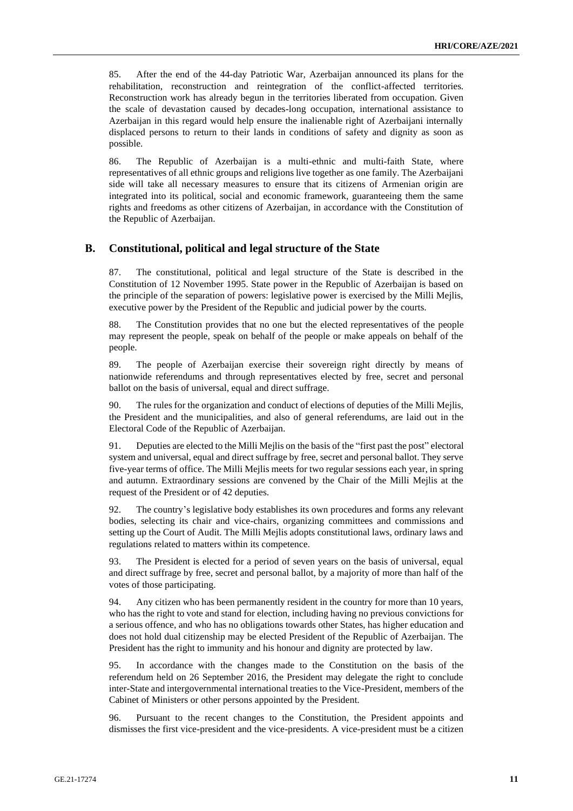85. After the end of the 44-day Patriotic War, Azerbaijan announced its plans for the rehabilitation, reconstruction and reintegration of the conflict-affected territories. Reconstruction work has already begun in the territories liberated from occupation. Given the scale of devastation caused by decades-long occupation, international assistance to Azerbaijan in this regard would help ensure the inalienable right of Azerbaijani internally displaced persons to return to their lands in conditions of safety and dignity as soon as possible.

86. The Republic of Azerbaijan is a multi-ethnic and multi-faith State, where representatives of all ethnic groups and religions live together as one family. The Azerbaijani side will take all necessary measures to ensure that its citizens of Armenian origin are integrated into its political, social and economic framework, guaranteeing them the same rights and freedoms as other citizens of Azerbaijan, in accordance with the Constitution of the Republic of Azerbaijan.

#### **В. Constitutional, political and legal structure of the State**

87. The constitutional, political and legal structure of the State is described in the Constitution of 12 November 1995. State power in the Republic of Azerbaijan is based on the principle of the separation of powers: legislative power is exercised by the Milli Mejlis, executive power by the President of the Republic and judicial power by the courts.

88. The Constitution provides that no one but the elected representatives of the people may represent the people, speak on behalf of the people or make appeals on behalf of the people.

89. The people of Azerbaijan exercise their sovereign right directly by means of nationwide referendums and through representatives elected by free, secret and personal ballot on the basis of universal, equal and direct suffrage.

90. The rules for the organization and conduct of elections of deputies of the Milli Mejlis, the President and the municipalities, and also of general referendums, are laid out in the Electoral Code of the Republic of Azerbaijan.

91. Deputies are elected to the Milli Mejlis on the basis of the "first past the post" electoral system and universal, equal and direct suffrage by free, secret and personal ballot. They serve five-year terms of office. The Milli Mejlis meets for two regular sessions each year, in spring and autumn. Extraordinary sessions are convened by the Chair of the Milli Mejlis at the request of the President or of 42 deputies.

92. The country's legislative body establishes its own procedures and forms any relevant bodies, selecting its chair and vice-chairs, organizing committees and commissions and setting up the Court of Audit. The Milli Mejlis adopts constitutional laws, ordinary laws and regulations related to matters within its competence.

93. The President is elected for a period of seven years on the basis of universal, equal and direct suffrage by free, secret and personal ballot, by a majority of more than half of the votes of those participating.

94. Any citizen who has been permanently resident in the country for more than 10 years, who has the right to vote and stand for election, including having no previous convictions for a serious offence, and who has no obligations towards other States, has higher education and does not hold dual citizenship may be elected President of the Republic of Azerbaijan. The President has the right to immunity and his honour and dignity are protected by law.

95. In accordance with the changes made to the Constitution on the basis of the referendum held on 26 September 2016, the President may delegate the right to conclude inter-State and intergovernmental international treaties to the Vice-President, members of the Cabinet of Ministers or other persons appointed by the President.

96. Pursuant to the recent changes to the Constitution, the President appoints and dismisses the first vice-president and the vice-presidents. A vice-president must be a citizen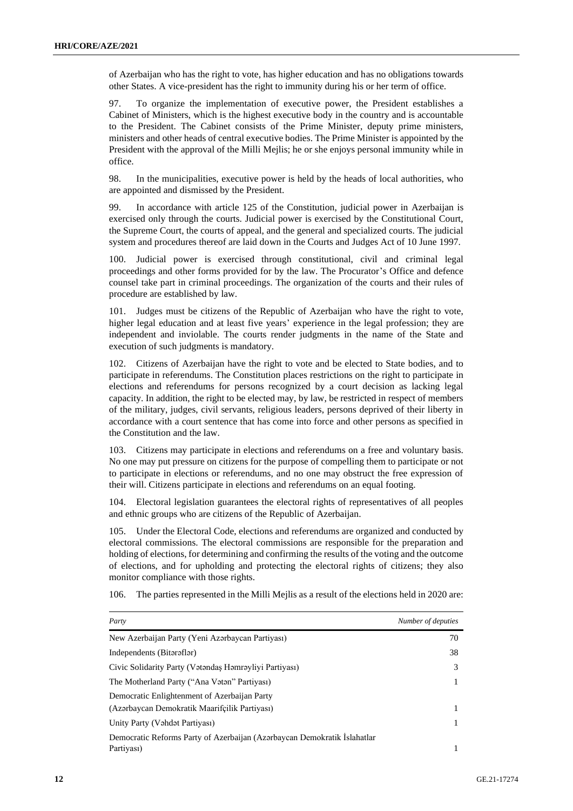of Azerbaijan who has the right to vote, has higher education and has no obligations towards other States. A vice-president has the right to immunity during his or her term of office.

97. To organize the implementation of executive power, the President establishes a Cabinet of Ministers, which is the highest executive body in the country and is accountable to the President. The Cabinet consists of the Prime Minister, deputy prime ministers, ministers and other heads of central executive bodies. The Prime Minister is appointed by the President with the approval of the Milli Mejlis; he or she enjoys personal immunity while in office.

98. In the municipalities, executive power is held by the heads of local authorities, who are appointed and dismissed by the President.

99. In accordance with article 125 of the Constitution, judicial power in Azerbaijan is exercised only through the courts. Judicial power is exercised by the Constitutional Court, the Supreme Court, the courts of appeal, and the general and specialized courts. The judicial system and procedures thereof are laid down in the Courts and Judges Act of 10 June 1997.

100. Judicial power is exercised through constitutional, civil and criminal legal proceedings and other forms provided for by the law. The Procurator's Office and defence counsel take part in criminal proceedings. The organization of the courts and their rules of procedure are established by law.

101. Judges must be citizens of the Republic of Azerbaijan who have the right to vote, higher legal education and at least five years' experience in the legal profession; they are independent and inviolable. The courts render judgments in the name of the State and execution of such judgments is mandatory.

102. Citizens of Azerbaijan have the right to vote and be elected to State bodies, and to participate in referendums. The Constitution places restrictions on the right to participate in elections and referendums for persons recognized by a court decision as lacking legal capacity. In addition, the right to be elected may, by law, be restricted in respect of members of the military, judges, civil servants, religious leaders, persons deprived of their liberty in accordance with a court sentence that has come into force and other persons as specified in the Constitution and the law.

103. Citizens may participate in elections and referendums on a free and voluntary basis. No one may put pressure on citizens for the purpose of compelling them to participate or not to participate in elections or referendums, and no one may obstruct the free expression of their will. Citizens participate in elections and referendums on an equal footing.

104. Electoral legislation guarantees the electoral rights of representatives of all peoples and ethnic groups who are citizens of the Republic of Azerbaijan.

105. Under the Electoral Code, elections and referendums are organized and conducted by electoral commissions. The electoral commissions are responsible for the preparation and holding of elections, for determining and confirming the results of the voting and the outcome of elections, and for upholding and protecting the electoral rights of citizens; they also monitor compliance with those rights.

| Party                                                                    | Number of deputies |
|--------------------------------------------------------------------------|--------------------|
| New Azerbaijan Party (Yeni Azərbaycan Partiyası)                         | 70                 |
| Independents (Bitaraflar)                                                | 38                 |
| Civic Solidarity Party (Vetendas Hemreyliyi Partiyası)                   | 3                  |
| The Motherland Party ("Ana Vatan" Partiyası)                             |                    |
| Democratic Enlightenment of Azerbaijan Party                             |                    |
| (Azərbaycan Demokratik Maarifçilik Partiyası)                            |                    |
| Unity Party (Vahdat Partiyası)                                           |                    |
| Democratic Reforms Party of Azerbaijan (Azərbaycan Demokratik İslahatlar |                    |
| Partiyası)                                                               |                    |

106. The parties represented in the Milli Mejlis as a result of the elections held in 2020 are: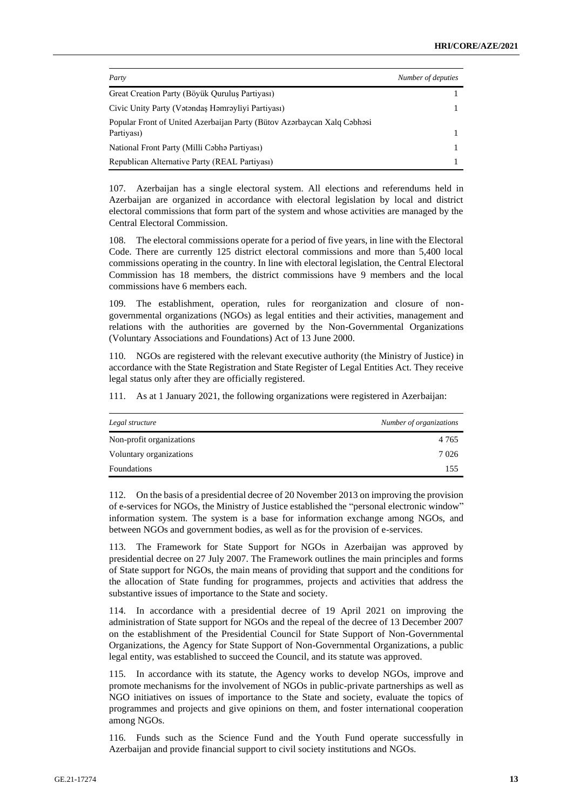| Party                                                                                 | Number of deputies |
|---------------------------------------------------------------------------------------|--------------------|
| Great Creation Party (Böyük Quruluş Partiyası)                                        |                    |
| Civic Unity Party (Vatandas Hamrayliyi Partiyası)                                     |                    |
| Popular Front of United Azerbaijan Party (Bütov Azərbaycan Xalq Cəbhəsi<br>Partiyası) |                    |
| National Front Party (Milli Cabha Partiyası)                                          |                    |
| Republican Alternative Party (REAL Partiyası)                                         |                    |

107. Azerbaijan has a single electoral system. All elections and referendums held in Azerbaijan are organized in accordance with electoral legislation by local and district electoral commissions that form part of the system and whose activities are managed by the Central Electoral Commission.

108. The electoral commissions operate for a period of five years, in line with the Electoral Code. There are currently 125 district electoral commissions and more than 5,400 local commissions operating in the country. In line with electoral legislation, the Central Electoral Commission has 18 members, the district commissions have 9 members and the local commissions have 6 members each.

109. The establishment, operation, rules for reorganization and closure of nongovernmental organizations (NGOs) as legal entities and their activities, management and relations with the authorities are governed by the Non-Governmental Organizations (Voluntary Associations and Foundations) Act of 13 June 2000.

110. NGOs are registered with the relevant executive authority (the Ministry of Justice) in accordance with the State Registration and State Register of Legal Entities Act. They receive legal status only after they are officially registered.

111. As at 1 January 2021, the following organizations were registered in Azerbaijan:

| Legal structure          | Number of organizations |
|--------------------------|-------------------------|
| Non-profit organizations | 4 7 6 5                 |
| Voluntary organizations  | 7 0 2 6                 |
| Foundations              | 155                     |

112. On the basis of a presidential decree of 20 November 2013 on improving the provision of e-services for NGOs, the Ministry of Justice established the "personal electronic window" information system. The system is a base for information exchange among NGOs, and between NGOs and government bodies, as well as for the provision of e-services.

113. The Framework for State Support for NGOs in Azerbaijan was approved by presidential decree on 27 July 2007. The Framework outlines the main principles and forms of State support for NGOs, the main means of providing that support and the conditions for the allocation of State funding for programmes, projects and activities that address the substantive issues of importance to the State and society.

114. In accordance with a presidential decree of 19 April 2021 on improving the administration of State support for NGOs and the repeal of the decree of 13 December 2007 on the establishment of the Presidential Council for State Support of Non-Governmental Organizations, the Agency for State Support of Non-Governmental Organizations, a public legal entity, was established to succeed the Council, and its statute was approved.

115. In accordance with its statute, the Agency works to develop NGOs, improve and promote mechanisms for the involvement of NGOs in public-private partnerships as well as NGO initiatives on issues of importance to the State and society, evaluate the topics of programmes and projects and give opinions on them, and foster international cooperation among NGOs.

116. Funds such as the Science Fund and the Youth Fund operate successfully in Azerbaijan and provide financial support to civil society institutions and NGOs.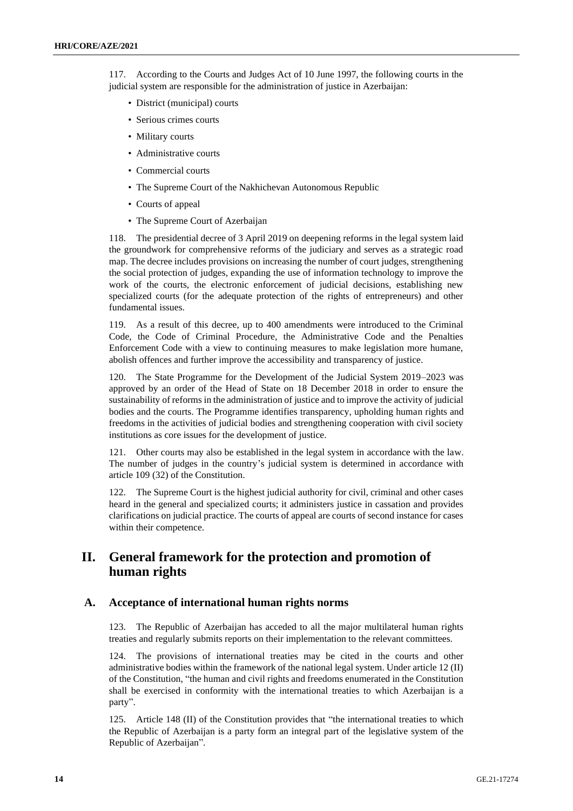117. According to the Courts and Judges Act of 10 June 1997, the following courts in the judicial system are responsible for the administration of justice in Azerbaijan:

- District (municipal) courts
- Serious crimes courts
- Military courts
- Administrative courts
- Commercial courts
- The Supreme Court of the Nakhichevan Autonomous Republic
- Courts of appeal
- The Supreme Court of Azerbaijan

118. The presidential decree of 3 April 2019 on deepening reforms in the legal system laid the groundwork for comprehensive reforms of the judiciary and serves as a strategic road map. The decree includes provisions on increasing the number of court judges, strengthening the social protection of judges, expanding the use of information technology to improve the work of the courts, the electronic enforcement of judicial decisions, establishing new specialized courts (for the adequate protection of the rights of entrepreneurs) and other fundamental issues.

119. As a result of this decree, up to 400 amendments were introduced to the Criminal Code, the Code of Criminal Procedure, the Administrative Code and the Penalties Enforcement Code with a view to continuing measures to make legislation more humane, abolish offences and further improve the accessibility and transparency of justice.

120. The State Programme for the Development of the Judicial System 2019–2023 was approved by an order of the Head of State on 18 December 2018 in order to ensure the sustainability of reforms in the administration of justice and to improve the activity of judicial bodies and the courts. The Programme identifies transparency, upholding human rights and freedoms in the activities of judicial bodies and strengthening cooperation with civil society institutions as core issues for the development of justice.

121. Other courts may also be established in the legal system in accordance with the law. The number of judges in the country's judicial system is determined in accordance with article 109 (32) of the Constitution.

122. The Supreme Court is the highest judicial authority for civil, criminal and other cases heard in the general and specialized courts; it administers justice in cassation and provides clarifications on judicial practice. The courts of appeal are courts of second instance for cases within their competence.

# **II. General framework for the protection and promotion of human rights**

# **A. Acceptance of international human rights norms**

123. The Republic of Azerbaijan has acceded to all the major multilateral human rights treaties and regularly submits reports on their implementation to the relevant committees.

124. The provisions of international treaties may be cited in the courts and other administrative bodies within the framework of the national legal system. Under article 12 (II) of the Constitution, "the human and civil rights and freedoms enumerated in the Constitution shall be exercised in conformity with the international treaties to which Azerbaijan is a party".

125. Article 148 (II) of the Constitution provides that "the international treaties to which the Republic of Azerbaijan is a party form an integral part of the legislative system of the Republic of Azerbaijan".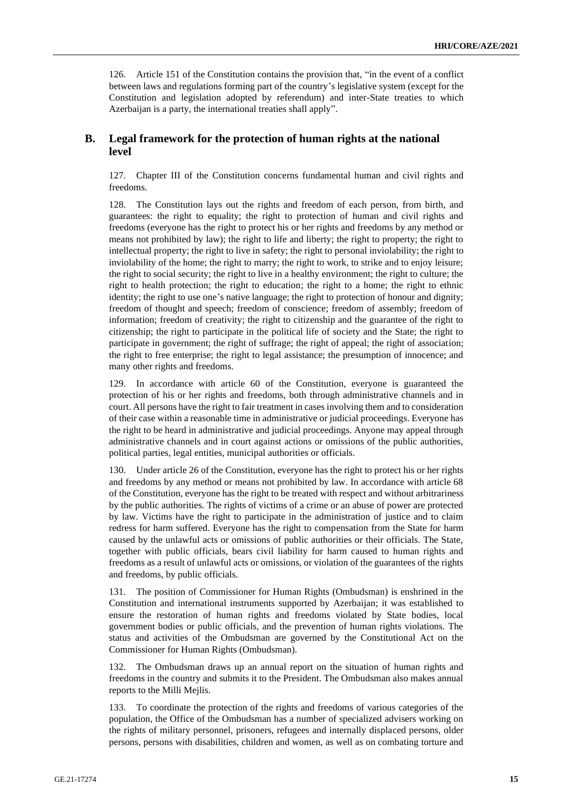126. Article 151 of the Constitution contains the provision that, "in the event of a conflict between laws and regulations forming part of the country's legislative system (except for the Constitution and legislation adopted by referendum) and inter-State treaties to which Azerbaijan is a party, the international treaties shall apply".

# **B. Legal framework for the protection of human rights at the national level**

127. Chapter III of the Constitution concerns fundamental human and civil rights and freedoms.

128. The Constitution lays out the rights and freedom of each person, from birth, and guarantees: the right to equality; the right to protection of human and civil rights and freedoms (everyone has the right to protect his or her rights and freedoms by any method or means not prohibited by law); the right to life and liberty; the right to property; the right to intellectual property; the right to live in safety; the right to personal inviolability; the right to inviolability of the home; the right to marry; the right to work, to strike and to enjoy leisure; the right to social security; the right to live in a healthy environment; the right to culture; the right to health protection; the right to education; the right to a home; the right to ethnic identity; the right to use one's native language; the right to protection of honour and dignity; freedom of thought and speech; freedom of conscience; freedom of assembly; freedom of information; freedom of creativity; the right to citizenship and the guarantee of the right to citizenship; the right to participate in the political life of society and the State; the right to participate in government; the right of suffrage; the right of appeal; the right of association; the right to free enterprise; the right to legal assistance; the presumption of innocence; and many other rights and freedoms.

129. In accordance with article 60 of the Constitution, everyone is guaranteed the protection of his or her rights and freedoms, both through administrative channels and in court. All persons have the right to fair treatment in cases involving them and to consideration of their case within a reasonable time in administrative or judicial proceedings. Everyone has the right to be heard in administrative and judicial proceedings. Anyone may appeal through administrative channels and in court against actions or omissions of the public authorities, political parties, legal entities, municipal authorities or officials.

130. Under article 26 of the Constitution, everyone has the right to protect his or her rights and freedoms by any method or means not prohibited by law. In accordance with article 68 of the Constitution, everyone has the right to be treated with respect and without arbitrariness by the public authorities. The rights of victims of a crime or an abuse of power are protected by law. Victims have the right to participate in the administration of justice and to claim redress for harm suffered. Everyone has the right to compensation from the State for harm caused by the unlawful acts or omissions of public authorities or their officials. The State, together with public officials, bears civil liability for harm caused to human rights and freedoms as a result of unlawful acts or omissions, or violation of the guarantees of the rights and freedoms, by public officials.

131. The position of Commissioner for Human Rights (Ombudsman) is enshrined in the Constitution and international instruments supported by Azerbaijan; it was established to ensure the restoration of human rights and freedoms violated by State bodies, local government bodies or public officials, and the prevention of human rights violations. The status and activities of the Ombudsman are governed by the Constitutional Act on the Commissioner for Human Rights (Ombudsman).

132. The Ombudsman draws up an annual report on the situation of human rights and freedoms in the country and submits it to the President. The Ombudsman also makes annual reports to the Milli Mejlis.

133. To coordinate the protection of the rights and freedoms of various categories of the population, the Office of the Ombudsman has a number of specialized advisers working on the rights of military personnel, prisoners, refugees and internally displaced persons, older persons, persons with disabilities, children and women, as well as on combating torture and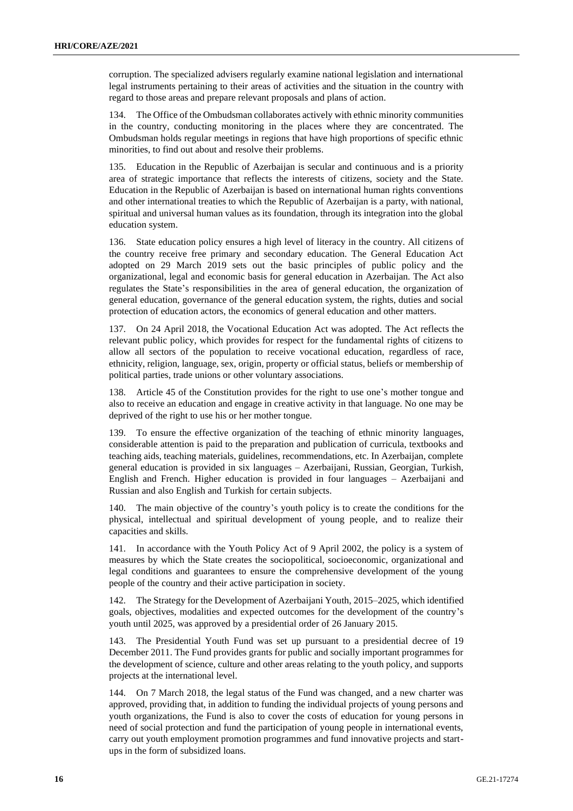corruption. The specialized advisers regularly examine national legislation and international legal instruments pertaining to their areas of activities and the situation in the country with regard to those areas and prepare relevant proposals and plans of action.

134. The Office of the Ombudsman collaborates actively with ethnic minority communities in the country, conducting monitoring in the places where they are concentrated. The Ombudsman holds regular meetings in regions that have high proportions of specific ethnic minorities, to find out about and resolve their problems.

135. Education in the Republic of Azerbaijan is secular and continuous and is a priority area of strategic importance that reflects the interests of citizens, society and the State. Education in the Republic of Azerbaijan is based on international human rights conventions and other international treaties to which the Republic of Azerbaijan is a party, with national, spiritual and universal human values as its foundation, through its integration into the global education system.

136. State education policy ensures a high level of literacy in the country. All citizens of the country receive free primary and secondary education. The General Education Act adopted on 29 March 2019 sets out the basic principles of public policy and the organizational, legal and economic basis for general education in Azerbaijan. The Act also regulates the State's responsibilities in the area of general education, the organization of general education, governance of the general education system, the rights, duties and social protection of education actors, the economics of general education and other matters.

137. On 24 April 2018, the Vocational Education Act was adopted. The Act reflects the relevant public policy, which provides for respect for the fundamental rights of citizens to allow all sectors of the population to receive vocational education, regardless of race, ethnicity, religion, language, sex, origin, property or official status, beliefs or membership of political parties, trade unions or other voluntary associations.

138. Article 45 of the Constitution provides for the right to use one's mother tongue and also to receive an education and engage in creative activity in that language. No one may be deprived of the right to use his or her mother tongue.

139. To ensure the effective organization of the teaching of ethnic minority languages, considerable attention is paid to the preparation and publication of curricula, textbooks and teaching aids, teaching materials, guidelines, recommendations, etc. In Azerbaijan, complete general education is provided in six languages – Azerbaijani, Russian, Georgian, Turkish, English and French. Higher education is provided in four languages – Azerbaijani and Russian and also English and Turkish for certain subjects.

140. The main objective of the country's youth policy is to create the conditions for the physical, intellectual and spiritual development of young people, and to realize their capacities and skills.

141. In accordance with the Youth Policy Act of 9 April 2002, the policy is a system of measures by which the State creates the sociopolitical, socioeconomic, organizational and legal conditions and guarantees to ensure the comprehensive development of the young people of the country and their active participation in society.

142. The Strategy for the Development of Azerbaijani Youth, 2015–2025, which identified goals, objectives, modalities and expected outcomes for the development of the country's youth until 2025, was approved by a presidential order of 26 January 2015.

143. The Presidential Youth Fund was set up pursuant to a presidential decree of 19 December 2011. The Fund provides grants for public and socially important programmes for the development of science, culture and other areas relating to the youth policy, and supports projects at the international level.

144. On 7 March 2018, the legal status of the Fund was changed, and a new charter was approved, providing that, in addition to funding the individual projects of young persons and youth organizations, the Fund is also to cover the costs of education for young persons in need of social protection and fund the participation of young people in international events, carry out youth employment promotion programmes and fund innovative projects and startups in the form of subsidized loans.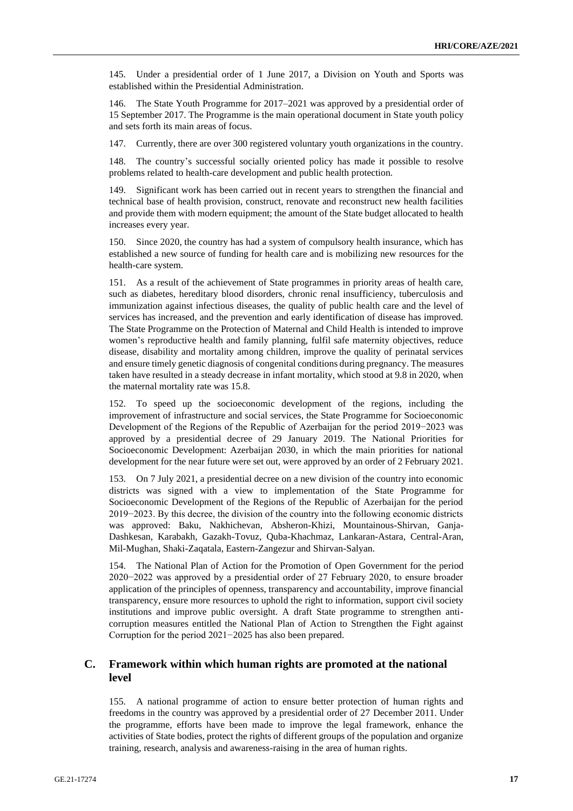145. Under a presidential order of 1 June 2017, a Division on Youth and Sports was established within the Presidential Administration.

146. The State Youth Programme for 2017–2021 was approved by a presidential order of 15 September 2017. The Programme is the main operational document in State youth policy and sets forth its main areas of focus.

147. Currently, there are over 300 registered voluntary youth organizations in the country.

148. The country's successful socially oriented policy has made it possible to resolve problems related to health-care development and public health protection.

149. Significant work has been carried out in recent years to strengthen the financial and technical base of health provision, construct, renovate and reconstruct new health facilities and provide them with modern equipment; the amount of the State budget allocated to health increases every year.

150. Since 2020, the country has had a system of compulsory health insurance, which has established a new source of funding for health care and is mobilizing new resources for the health-care system.

151. As a result of the achievement of State programmes in priority areas of health care, such as diabetes, hereditary blood disorders, chronic renal insufficiency, tuberculosis and immunization against infectious diseases, the quality of public health care and the level of services has increased, and the prevention and early identification of disease has improved. The State Programme on the Protection of Maternal and Child Health is intended to improve women's reproductive health and family planning, fulfil safe maternity objectives, reduce disease, disability and mortality among children, improve the quality of perinatal services and ensure timely genetic diagnosis of congenital conditions during pregnancy. The measures taken have resulted in a steady decrease in infant mortality, which stood at 9.8 in 2020, when the maternal mortality rate was 15.8.

152. To speed up the socioeconomic development of the regions, including the improvement of infrastructure and social services, the State Programme for Socioeconomic Development of the Regions of the Republic of Azerbaijan for the period 2019−2023 was approved by a presidential decree of 29 January 2019. The National Priorities for Socioeconomic Development: Azerbaijan 2030, in which the main priorities for national development for the near future were set out, were approved by an order of 2 February 2021.

153. On 7 July 2021, a presidential decree on a new division of the country into economic districts was signed with a view to implementation of the State Programme for Socioeconomic Development of the Regions of the Republic of Azerbaijan for the period 2019−2023. By this decree, the division of the country into the following economic districts was approved: Baku, Nakhichevan, Absheron-Khizi, Mountainous-Shirvan, Ganja-Dashkesan, Karabakh, Gazakh-Tovuz, Quba-Khachmaz, Lankaran-Astara, Central-Aran, Mil-Mughan, Shaki-Zaqatala, Eastern-Zangezur and Shirvan-Salyan.

154. The National Plan of Action for the Promotion of Open Government for the period 2020−2022 was approved by a presidential order of 27 February 2020, to ensure broader application of the principles of openness, transparency and accountability, improve financial transparency, ensure more resources to uphold the right to information, support civil society institutions and improve public oversight. A draft State programme to strengthen anticorruption measures entitled the National Plan of Action to Strengthen the Fight against Corruption for the period 2021−2025 has also been prepared.

# **C. Framework within which human rights are promoted at the national level**

155. A national programme of action to ensure better protection of human rights and freedoms in the country was approved by a presidential order of 27 December 2011. Under the programme, efforts have been made to improve the legal framework, enhance the activities of State bodies, protect the rights of different groups of the population and organize training, research, analysis and awareness-raising in the area of human rights.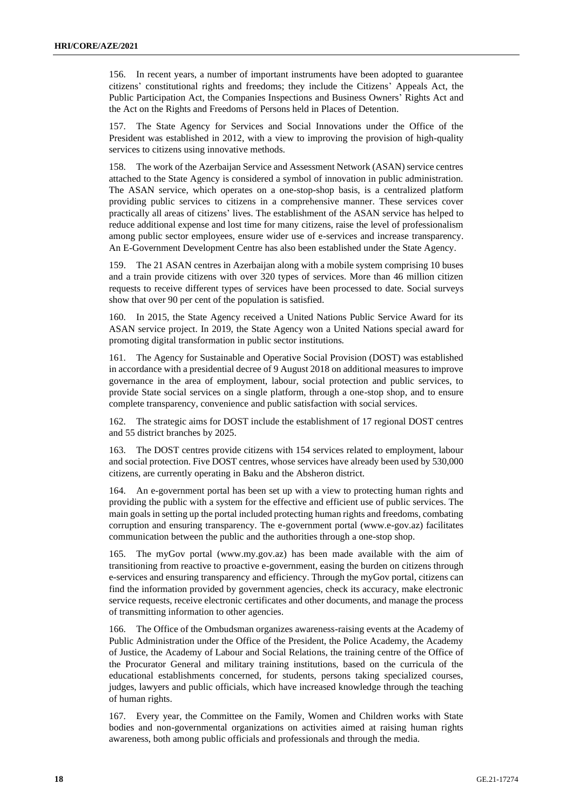156. In recent years, a number of important instruments have been adopted to guarantee citizens' constitutional rights and freedoms; they include the Citizens' Appeals Act, the Public Participation Act, the Companies Inspections and Business Owners' Rights Act and the Act on the Rights and Freedoms of Persons held in Places of Detention.

157. The State Agency for Services and Social Innovations under the Office of the President was established in 2012, with a view to improving the provision of high-quality services to citizens using innovative methods.

158. The work of the Azerbaijan Service and Assessment Network (ASAN) service centres attached to the State Agency is considered a symbol of innovation in public administration. The ASAN service, which operates on a one-stop-shop basis, is a centralized platform providing public services to citizens in a comprehensive manner. These services cover practically all areas of citizens' lives. The establishment of the ASAN service has helped to reduce additional expense and lost time for many citizens, raise the level of professionalism among public sector employees, ensure wider use of e-services and increase transparency. An E-Government Development Centre has also been established under the State Agency.

159. The 21 ASAN centres in Azerbaijan along with a mobile system comprising 10 buses and a train provide citizens with over 320 types of services. More than 46 million citizen requests to receive different types of services have been processed to date. Social surveys show that over 90 per cent of the population is satisfied.

160. In 2015, the State Agency received a United Nations Public Service Award for its ASAN service project. In 2019, the State Agency won a United Nations special award for promoting digital transformation in public sector institutions.

161. The Agency for Sustainable and Operative Social Provision (DOST) was established in accordance with a presidential decree of 9 August 2018 on additional measures to improve governance in the area of employment, labour, social protection and public services, to provide State social services on a single platform, through a one-stop shop, and to ensure complete transparency, convenience and public satisfaction with social services.

162. The strategic aims for DOST include the establishment of 17 regional DOST centres and 55 district branches by 2025.

163. The DOST centres provide citizens with 154 services related to employment, labour and social protection. Five DOST centres, whose services have already been used by 530,000 citizens, are currently operating in Baku and the Absheron district.

164. An e-government portal has been set up with a view to protecting human rights and providing the public with a system for the effective and efficient use of public services. The main goals in setting up the portal included protecting human rights and freedoms, combating corruption and ensuring transparency. The e-government portal (www.e-gov.az) facilitates communication between the public and the authorities through a one-stop shop.

165. The myGov portal (www.my.gov.az) has been made available with the aim of transitioning from reactive to proactive e-government, easing the burden on citizens through e-services and ensuring transparency and efficiency. Through the myGov portal, citizens can find the information provided by government agencies, check its accuracy, make electronic service requests, receive electronic certificates and other documents, and manage the process of transmitting information to other agencies.

166. The Office of the Ombudsman organizes awareness-raising events at the Academy of Public Administration under the Office of the President, the Police Academy, the Academy of Justice, the Academy of Labour and Social Relations, the training centre of the Office of the Procurator General and military training institutions, based on the curricula of the educational establishments concerned, for students, persons taking specialized courses, judges, lawyers and public officials, which have increased knowledge through the teaching of human rights.

167. Every year, the Committee on the Family, Women and Children works with State bodies and non-governmental organizations on activities aimed at raising human rights awareness, both among public officials and professionals and through the media.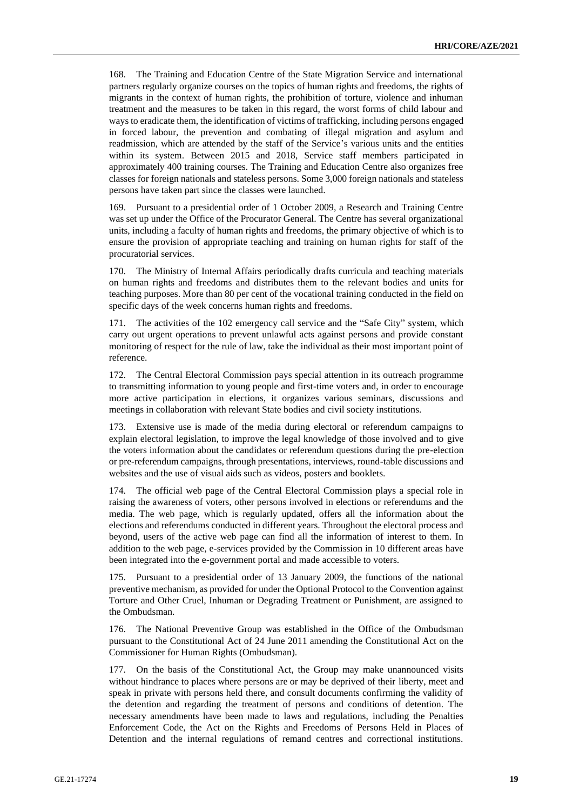168. The Training and Education Centre of the State Migration Service and international partners regularly organize courses on the topics of human rights and freedoms, the rights of migrants in the context of human rights, the prohibition of torture, violence and inhuman treatment and the measures to be taken in this regard, the worst forms of child labour and ways to eradicate them, the identification of victims of trafficking, including persons engaged in forced labour, the prevention and combating of illegal migration and asylum and readmission, which are attended by the staff of the Service's various units and the entities within its system. Between 2015 and 2018, Service staff members participated in approximately 400 training courses. The Training and Education Centre also organizes free classes for foreign nationals and stateless persons. Some 3,000 foreign nationals and stateless persons have taken part since the classes were launched.

169. Pursuant to a presidential order of 1 October 2009, a Research and Training Centre was set up under the Office of the Procurator General. The Centre has several organizational units, including a faculty of human rights and freedoms, the primary objective of which is to ensure the provision of appropriate teaching and training on human rights for staff of the procuratorial services.

170. The Ministry of Internal Affairs periodically drafts curricula and teaching materials on human rights and freedoms and distributes them to the relevant bodies and units for teaching purposes. More than 80 per cent of the vocational training conducted in the field on specific days of the week concerns human rights and freedoms.

171. The activities of the 102 emergency call service and the "Safe City" system, which carry out urgent operations to prevent unlawful acts against persons and provide constant monitoring of respect for the rule of law, take the individual as their most important point of reference.

172. The Central Electoral Commission pays special attention in its outreach programme to transmitting information to young people and first-time voters and, in order to encourage more active participation in elections, it organizes various seminars, discussions and meetings in collaboration with relevant State bodies and civil society institutions.

173. Extensive use is made of the media during electoral or referendum campaigns to explain electoral legislation, to improve the legal knowledge of those involved and to give the voters information about the candidates or referendum questions during the pre-election or pre-referendum campaigns, through presentations, interviews, round-table discussions and websites and the use of visual aids such as videos, posters and booklets.

174. The official web page of the Central Electoral Commission plays a special role in raising the awareness of voters, other persons involved in elections or referendums and the media. The web page, which is regularly updated, offers all the information about the elections and referendums conducted in different years. Throughout the electoral process and beyond, users of the active web page can find all the information of interest to them. In addition to the web page, e-services provided by the Commission in 10 different areas have been integrated into the e-government portal and made accessible to voters.

175. Pursuant to a presidential order of 13 January 2009, the functions of the national preventive mechanism, as provided for under the Optional Protocol to the Convention against Torture and Other Cruel, Inhuman or Degrading Treatment or Punishment, are assigned to the Ombudsman.

176. The National Preventive Group was established in the Office of the Ombudsman pursuant to the Constitutional Act of 24 June 2011 amending the Constitutional Act on the Commissioner for Human Rights (Ombudsman).

177. On the basis of the Constitutional Act, the Group may make unannounced visits without hindrance to places where persons are or may be deprived of their liberty, meet and speak in private with persons held there, and consult documents confirming the validity of the detention and regarding the treatment of persons and conditions of detention. The necessary amendments have been made to laws and regulations, including the Penalties Enforcement Code, the Act on the Rights and Freedoms of Persons Held in Places of Detention and the internal regulations of remand centres and correctional institutions.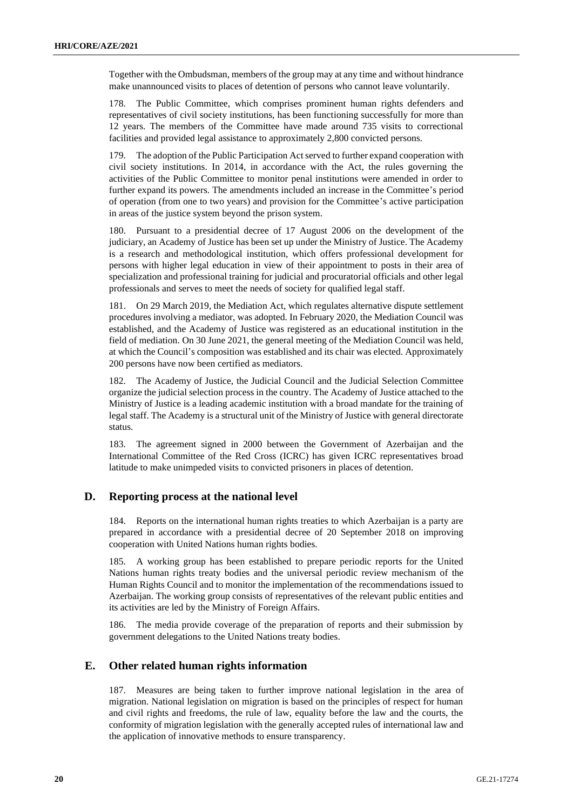Together with the Ombudsman, members of the group may at any time and without hindrance make unannounced visits to places of detention of persons who cannot leave voluntarily.

178. The Public Committee, which comprises prominent human rights defenders and representatives of civil society institutions, has been functioning successfully for more than 12 years. The members of the Committee have made around 735 visits to correctional facilities and provided legal assistance to approximately 2,800 convicted persons.

179. The adoption of the Public Participation Act served to further expand cooperation with civil society institutions. In 2014, in accordance with the Act, the rules governing the activities of the Public Committee to monitor penal institutions were amended in order to further expand its powers. The amendments included an increase in the Committee's period of operation (from one to two years) and provision for the Committee's active participation in areas of the justice system beyond the prison system.

180. Pursuant to a presidential decree of 17 August 2006 on the development of the judiciary, an Academy of Justice has been set up under the Ministry of Justice. The Academy is a research and methodological institution, which offers professional development for persons with higher legal education in view of their appointment to posts in their area of specialization and professional training for judicial and procuratorial officials and other legal professionals and serves to meet the needs of society for qualified legal staff.

181. On 29 March 2019, the Mediation Act, which regulates alternative dispute settlement procedures involving a mediator, was adopted. In February 2020, the Mediation Council was established, and the Academy of Justice was registered as an educational institution in the field of mediation. On 30 June 2021, the general meeting of the Mediation Council was held, at which the Council's composition was established and its chair was elected. Approximately 200 persons have now been certified as mediators.

182. The Academy of Justice, the Judicial Council and the Judicial Selection Committee organize the judicial selection process in the country. The Academy of Justice attached to the Ministry of Justice is a leading academic institution with a broad mandate for the training of legal staff. The Academy is a structural unit of the Ministry of Justice with general directorate status.

183. The agreement signed in 2000 between the Government of Azerbaijan and the International Committee of the Red Cross (ICRC) has given ICRC representatives broad latitude to make unimpeded visits to convicted prisoners in places of detention.

# **D. Reporting process at the national level**

184. Reports on the international human rights treaties to which Azerbaijan is a party are prepared in accordance with a presidential decree of 20 September 2018 on improving cooperation with United Nations human rights bodies.

185. A working group has been established to prepare periodic reports for the United Nations human rights treaty bodies and the universal periodic review mechanism of the Human Rights Council and to monitor the implementation of the recommendations issued to Azerbaijan. The working group consists of representatives of the relevant public entities and its activities are led by the Ministry of Foreign Affairs.

186. The media provide coverage of the preparation of reports and their submission by government delegations to the United Nations treaty bodies.

# **E. Other related human rights information**

187. Measures are being taken to further improve national legislation in the area of migration. National legislation on migration is based on the principles of respect for human and civil rights and freedoms, the rule of law, equality before the law and the courts, the conformity of migration legislation with the generally accepted rules of international law and the application of innovative methods to ensure transparency.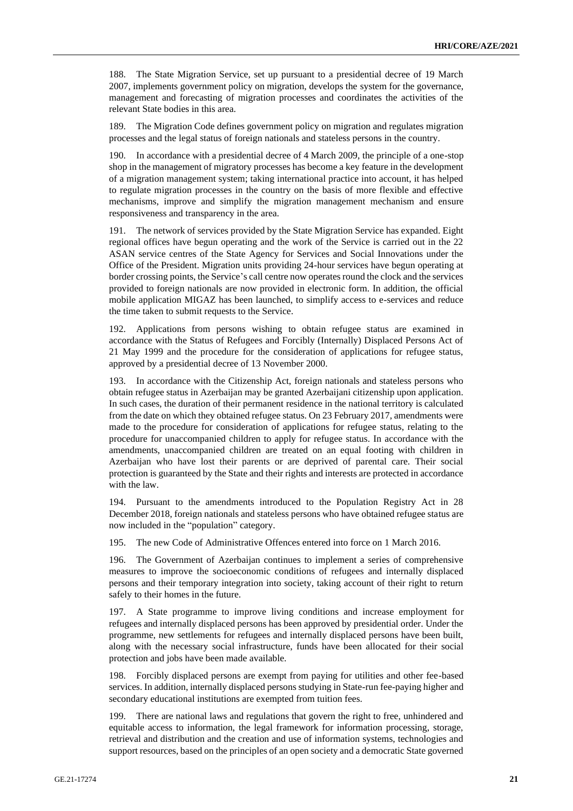188. The State Migration Service, set up pursuant to a presidential decree of 19 March 2007, implements government policy on migration, develops the system for the governance, management and forecasting of migration processes and coordinates the activities of the relevant State bodies in this area.

The Migration Code defines government policy on migration and regulates migration processes and the legal status of foreign nationals and stateless persons in the country.

190. In accordance with a presidential decree of 4 March 2009, the principle of a one-stop shop in the management of migratory processes has become a key feature in the development of a migration management system; taking international practice into account, it has helped to regulate migration processes in the country on the basis of more flexible and effective mechanisms, improve and simplify the migration management mechanism and ensure responsiveness and transparency in the area.

191. The network of services provided by the State Migration Service has expanded. Eight regional offices have begun operating and the work of the Service is carried out in the 22 ASAN service centres of the State Agency for Services and Social Innovations under the Office of the President. Migration units providing 24-hour services have begun operating at border crossing points, the Service's call centre now operates round the clock and the services provided to foreign nationals are now provided in electronic form. In addition, the official mobile application MIGAZ has been launched, to simplify access to e-services and reduce the time taken to submit requests to the Service.

192. Applications from persons wishing to obtain refugee status are examined in accordance with the Status of Refugees and Forcibly (Internally) Displaced Persons Act of 21 May 1999 and the procedure for the consideration of applications for refugee status, approved by a presidential decree of 13 November 2000.

193. In accordance with the Citizenship Act, foreign nationals and stateless persons who obtain refugee status in Azerbaijan may be granted Azerbaijani citizenship upon application. In such cases, the duration of their permanent residence in the national territory is calculated from the date on which they obtained refugee status. On 23 February 2017, amendments were made to the procedure for consideration of applications for refugee status, relating to the procedure for unaccompanied children to apply for refugee status. In accordance with the amendments, unaccompanied children are treated on an equal footing with children in Azerbaijan who have lost their parents or are deprived of parental care. Their social protection is guaranteed by the State and their rights and interests are protected in accordance with the law.

194. Pursuant to the amendments introduced to the Population Registry Act in 28 December 2018, foreign nationals and stateless persons who have obtained refugee status are now included in the "population" category.

195. The new Code of Administrative Offences entered into force on 1 March 2016.

196. The Government of Azerbaijan continues to implement a series of comprehensive measures to improve the socioeconomic conditions of refugees and internally displaced persons and their temporary integration into society, taking account of their right to return safely to their homes in the future.

197. A State programme to improve living conditions and increase employment for refugees and internally displaced persons has been approved by presidential order. Under the programme, new settlements for refugees and internally displaced persons have been built, along with the necessary social infrastructure, funds have been allocated for their social protection and jobs have been made available.

198. Forcibly displaced persons are exempt from paying for utilities and other fee-based services. In addition, internally displaced persons studying in State-run fee-paying higher and secondary educational institutions are exempted from tuition fees.

199. There are national laws and regulations that govern the right to free, unhindered and equitable access to information, the legal framework for information processing, storage, retrieval and distribution and the creation and use of information systems, technologies and support resources, based on the principles of an open society and a democratic State governed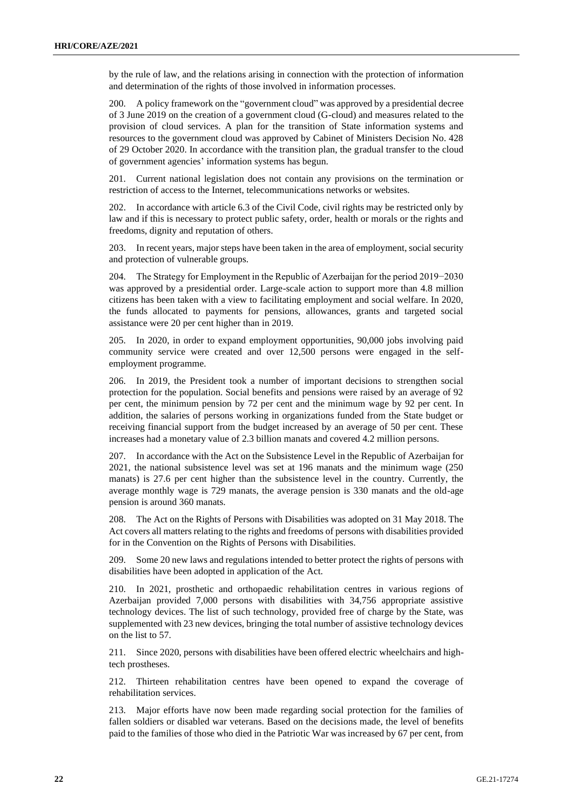by the rule of law, and the relations arising in connection with the protection of information and determination of the rights of those involved in information processes.

200. A policy framework on the "government cloud" was approved by a presidential decree of 3 June 2019 on the creation of a government cloud (G-cloud) and measures related to the provision of cloud services. A plan for the transition of State information systems and resources to the government cloud was approved by Cabinet of Ministers Decision No. 428 of 29 October 2020. In accordance with the transition plan, the gradual transfer to the cloud of government agencies' information systems has begun.

201. Current national legislation does not contain any provisions on the termination or restriction of access to the Internet, telecommunications networks or websites.

202. In accordance with article 6.3 of the Civil Code, civil rights may be restricted only by law and if this is necessary to protect public safety, order, health or morals or the rights and freedoms, dignity and reputation of others.

203. In recent years, major steps have been taken in the area of employment, social security and protection of vulnerable groups.

204. The Strategy for Employment in the Republic of Azerbaijan for the period 2019−2030 was approved by a presidential order. Large-scale action to support more than 4.8 million citizens has been taken with a view to facilitating employment and social welfare. In 2020, the funds allocated to payments for pensions, allowances, grants and targeted social assistance were 20 per cent higher than in 2019.

205. In 2020, in order to expand employment opportunities, 90,000 jobs involving paid community service were created and over 12,500 persons were engaged in the selfemployment programme.

206. In 2019, the President took a number of important decisions to strengthen social protection for the population. Social benefits and pensions were raised by an average of 92 per cent, the minimum pension by 72 per cent and the minimum wage by 92 per cent. In addition, the salaries of persons working in organizations funded from the State budget or receiving financial support from the budget increased by an average of 50 per cent. These increases had a monetary value of 2.3 billion manats and covered 4.2 million persons.

207. In accordance with the Act on the Subsistence Level in the Republic of Azerbaijan for 2021, the national subsistence level was set at 196 manats and the minimum wage (250 manats) is 27.6 per cent higher than the subsistence level in the country. Currently, the average monthly wage is 729 manats, the average pension is 330 manats and the old-age pension is around 360 manats.

208. The Act on the Rights of Persons with Disabilities was adopted on 31 May 2018. The Act covers all matters relating to the rights and freedoms of persons with disabilities provided for in the Convention on the Rights of Persons with Disabilities.

209. Some 20 new laws and regulations intended to better protect the rights of persons with disabilities have been adopted in application of the Act.

210. In 2021, prosthetic and orthopaedic rehabilitation centres in various regions of Azerbaijan provided 7,000 persons with disabilities with 34,756 appropriate assistive technology devices. The list of such technology, provided free of charge by the State, was supplemented with 23 new devices, bringing the total number of assistive technology devices on the list to 57.

211. Since 2020, persons with disabilities have been offered electric wheelchairs and hightech prostheses.

212. Thirteen rehabilitation centres have been opened to expand the coverage of rehabilitation services.

213. Major efforts have now been made regarding social protection for the families of fallen soldiers or disabled war veterans. Based on the decisions made, the level of benefits paid to the families of those who died in the Patriotic War was increased by 67 per cent, from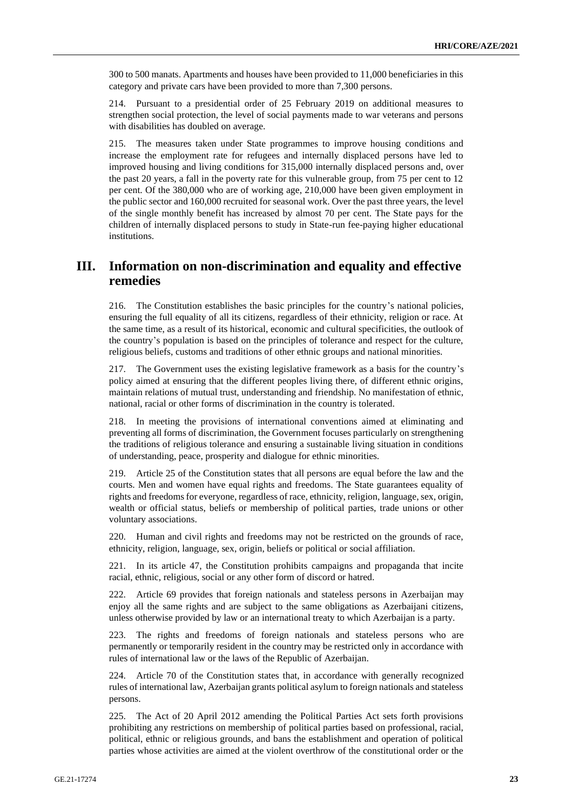300 to 500 manats. Apartments and houses have been provided to 11,000 beneficiaries in this category and private cars have been provided to more than 7,300 persons.

214. Pursuant to a presidential order of 25 February 2019 on additional measures to strengthen social protection, the level of social payments made to war veterans and persons with disabilities has doubled on average.

215. The measures taken under State programmes to improve housing conditions and increase the employment rate for refugees and internally displaced persons have led to improved housing and living conditions for 315,000 internally displaced persons and, over the past 20 years, a fall in the poverty rate for this vulnerable group, from 75 per cent to 12 per cent. Of the 380,000 who are of working age, 210,000 have been given employment in the public sector and 160,000 recruited for seasonal work. Over the past three years, the level of the single monthly benefit has increased by almost 70 per cent. The State pays for the children of internally displaced persons to study in State-run fee-paying higher educational institutions.

# **III. Information on non-discrimination and equality and effective remedies**

216. The Constitution establishes the basic principles for the country's national policies, ensuring the full equality of all its citizens, regardless of their ethnicity, religion or race. At the same time, as a result of its historical, economic and cultural specificities, the outlook of the country's population is based on the principles of tolerance and respect for the culture, religious beliefs, customs and traditions of other ethnic groups and national minorities.

217. The Government uses the existing legislative framework as a basis for the country's policy aimed at ensuring that the different peoples living there, of different ethnic origins, maintain relations of mutual trust, understanding and friendship. No manifestation of ethnic, national, racial or other forms of discrimination in the country is tolerated.

218. In meeting the provisions of international conventions aimed at eliminating and preventing all forms of discrimination, the Government focuses particularly on strengthening the traditions of religious tolerance and ensuring a sustainable living situation in conditions of understanding, peace, prosperity and dialogue for ethnic minorities.

219. Article 25 of the Constitution states that all persons are equal before the law and the courts. Men and women have equal rights and freedoms. The State guarantees equality of rights and freedoms for everyone, regardless of race, ethnicity, religion, language, sex, origin, wealth or official status, beliefs or membership of political parties, trade unions or other voluntary associations.

220. Human and civil rights and freedoms may not be restricted on the grounds of race, ethnicity, religion, language, sex, origin, beliefs or political or social affiliation.

221. In its article 47, the Constitution prohibits campaigns and propaganda that incite racial, ethnic, religious, social or any other form of discord or hatred.

Article 69 provides that foreign nationals and stateless persons in Azerbaijan may enjoy all the same rights and are subject to the same obligations as Azerbaijani citizens, unless otherwise provided by law or an international treaty to which Azerbaijan is a party.

223. The rights and freedoms of foreign nationals and stateless persons who are permanently or temporarily resident in the country may be restricted only in accordance with rules of international law or the laws of the Republic of Azerbaijan.

224. Article 70 of the Constitution states that, in accordance with generally recognized rules of international law, Azerbaijan grants political asylum to foreign nationals and stateless persons.

225. The Act of 20 April 2012 amending the Political Parties Act sets forth provisions prohibiting any restrictions on membership of political parties based on professional, racial, political, ethnic or religious grounds, and bans the establishment and operation of political parties whose activities are aimed at the violent overthrow of the constitutional order or the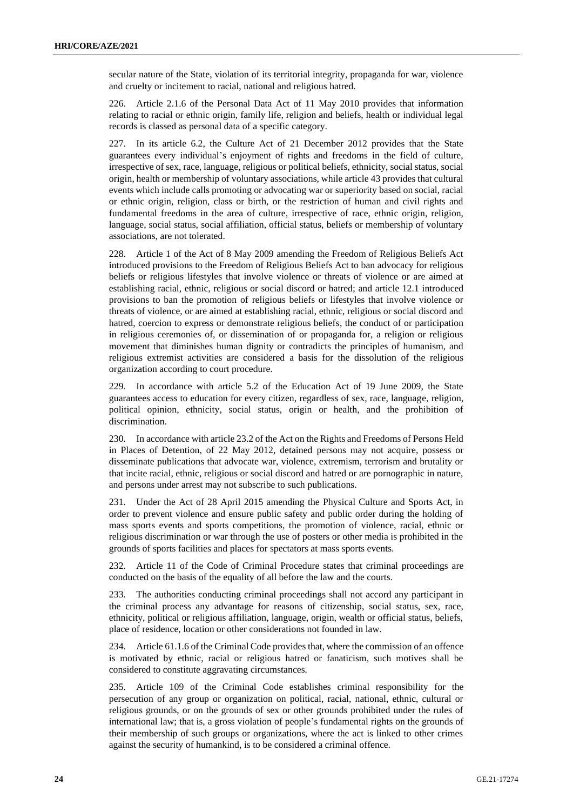secular nature of the State, violation of its territorial integrity, propaganda for war, violence and cruelty or incitement to racial, national and religious hatred.

226. Article 2.1.6 of the Personal Data Act of 11 May 2010 provides that information relating to racial or ethnic origin, family life, religion and beliefs, health or individual legal records is classed as personal data of a specific category.

227. In its article 6.2, the Culture Act of 21 December 2012 provides that the State guarantees every individual's enjoyment of rights and freedoms in the field of culture, irrespective of sex, race, language, religious or political beliefs, ethnicity, social status, social origin, health or membership of voluntary associations, while article 43 provides that cultural events which include calls promoting or advocating war or superiority based on social, racial or ethnic origin, religion, class or birth, or the restriction of human and civil rights and fundamental freedoms in the area of culture, irrespective of race, ethnic origin, religion, language, social status, social affiliation, official status, beliefs or membership of voluntary associations, are not tolerated.

228. Article 1 of the Act of 8 May 2009 amending the Freedom of Religious Beliefs Act introduced provisions to the Freedom of Religious Beliefs Act to ban advocacy for religious beliefs or religious lifestyles that involve violence or threats of violence or are aimed at establishing racial, ethnic, religious or social discord or hatred; and article 12.1 introduced provisions to ban the promotion of religious beliefs or lifestyles that involve violence or threats of violence, or are aimed at establishing racial, ethnic, religious or social discord and hatred, coercion to express or demonstrate religious beliefs, the conduct of or participation in religious ceremonies of, or dissemination of or propaganda for, a religion or religious movement that diminishes human dignity or contradicts the principles of humanism, and religious extremist activities are considered a basis for the dissolution of the religious organization according to court procedure.

229. In accordance with article 5.2 of the Education Act of 19 June 2009, the State guarantees access to education for every citizen, regardless of sex, race, language, religion, political opinion, ethnicity, social status, origin or health, and the prohibition of discrimination.

230. In accordance with article 23.2 of the Act on the Rights and Freedoms of Persons Held in Places of Detention, of 22 May 2012, detained persons may not acquire, possess or disseminate publications that advocate war, violence, extremism, terrorism and brutality or that incite racial, ethnic, religious or social discord and hatred or are pornographic in nature, and persons under arrest may not subscribe to such publications.

231. Under the Act of 28 April 2015 amending the Physical Culture and Sports Act, in order to prevent violence and ensure public safety and public order during the holding of mass sports events and sports competitions, the promotion of violence, racial, ethnic or religious discrimination or war through the use of posters or other media is prohibited in the grounds of sports facilities and places for spectators at mass sports events.

232. Article 11 of the Code of Criminal Procedure states that criminal proceedings are conducted on the basis of the equality of all before the law and the courts.

233. The authorities conducting criminal proceedings shall not accord any participant in the criminal process any advantage for reasons of citizenship, social status, sex, race, ethnicity, political or religious affiliation, language, origin, wealth or official status, beliefs, place of residence, location or other considerations not founded in law.

234. Article 61.1.6 of the Criminal Code provides that, where the commission of an offence is motivated by ethnic, racial or religious hatred or fanaticism, such motives shall be considered to constitute aggravating circumstances.

235. Article 109 of the Criminal Code establishes criminal responsibility for the persecution of any group or organization on political, racial, national, ethnic, cultural or religious grounds, or on the grounds of sex or other grounds prohibited under the rules of international law; that is, a gross violation of people's fundamental rights on the grounds of their membership of such groups or organizations, where the act is linked to other crimes against the security of humankind, is to be considered a criminal offence.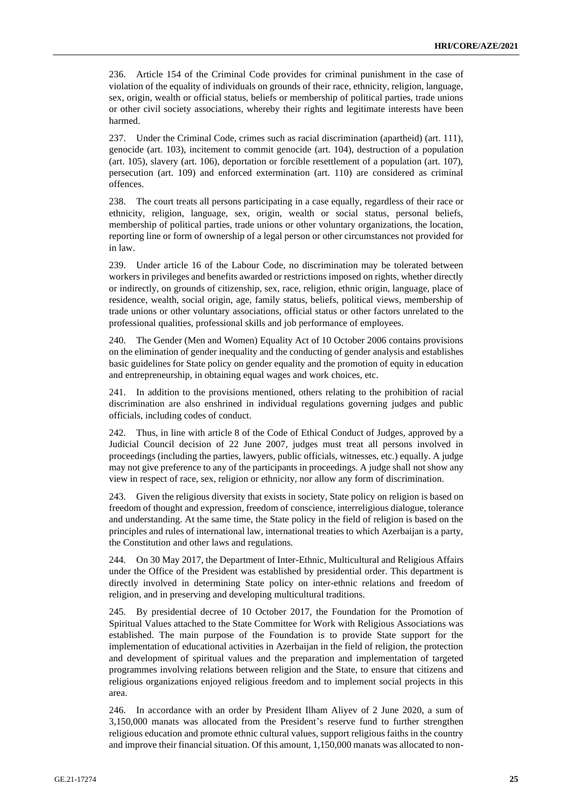236. Article 154 of the Criminal Code provides for criminal punishment in the case of violation of the equality of individuals on grounds of their race, ethnicity, religion, language, sex, origin, wealth or official status, beliefs or membership of political parties, trade unions or other civil society associations, whereby their rights and legitimate interests have been harmed.

237. Under the Criminal Code, crimes such as racial discrimination (apartheid) (art. 111), genocide (art. 103), incitement to commit genocide (art. 104), destruction of a population (art. 105), slavery (art. 106), deportation or forcible resettlement of a population (art. 107), persecution (art. 109) and enforced extermination (art. 110) are considered as criminal offences.

238. The court treats all persons participating in a case equally, regardless of their race or ethnicity, religion, language, sex, origin, wealth or social status, personal beliefs, membership of political parties, trade unions or other voluntary organizations, the location, reporting line or form of ownership of a legal person or other circumstances not provided for in law.

239. Under article 16 of the Labour Code, no discrimination may be tolerated between workers in privileges and benefits awarded or restrictions imposed on rights, whether directly or indirectly, on grounds of citizenship, sex, race, religion, ethnic origin, language, place of residence, wealth, social origin, age, family status, beliefs, political views, membership of trade unions or other voluntary associations, official status or other factors unrelated to the professional qualities, professional skills and job performance of employees.

240. The Gender (Men and Women) Equality Act of 10 October 2006 contains provisions on the elimination of gender inequality and the conducting of gender analysis and establishes basic guidelines for State policy on gender equality and the promotion of equity in education and entrepreneurship, in obtaining equal wages and work choices, etc.

241. In addition to the provisions mentioned, others relating to the prohibition of racial discrimination are also enshrined in individual regulations governing judges and public officials, including codes of conduct.

242. Thus, in line with article 8 of the Code of Ethical Conduct of Judges, approved by a Judicial Council decision of 22 June 2007, judges must treat all persons involved in proceedings (including the parties, lawyers, public officials, witnesses, etc.) equally. A judge may not give preference to any of the participants in proceedings. A judge shall not show any view in respect of race, sex, religion or ethnicity, nor allow any form of discrimination.

243. Given the religious diversity that exists in society, State policy on religion is based on freedom of thought and expression, freedom of conscience, interreligious dialogue, tolerance and understanding. At the same time, the State policy in the field of religion is based on the principles and rules of international law, international treaties to which Azerbaijan is a party, the Constitution and other laws and regulations.

244. On 30 May 2017, the Department of Inter-Ethnic, Multicultural and Religious Affairs under the Office of the President was established by presidential order. This department is directly involved in determining State policy on inter-ethnic relations and freedom of religion, and in preserving and developing multicultural traditions.

245. By presidential decree of 10 October 2017, the Foundation for the Promotion of Spiritual Values attached to the State Committee for Work with Religious Associations was established. The main purpose of the Foundation is to provide State support for the implementation of educational activities in Azerbaijan in the field of religion, the protection and development of spiritual values and the preparation and implementation of targeted programmes involving relations between religion and the State, to ensure that citizens and religious organizations enjoyed religious freedom and to implement social projects in this area.

246. In accordance with an order by President Ilham Aliyev of 2 June 2020, a sum of 3,150,000 manats was allocated from the President's reserve fund to further strengthen religious education and promote ethnic cultural values, support religious faiths in the country and improve their financial situation. Of this amount, 1,150,000 manats was allocated to non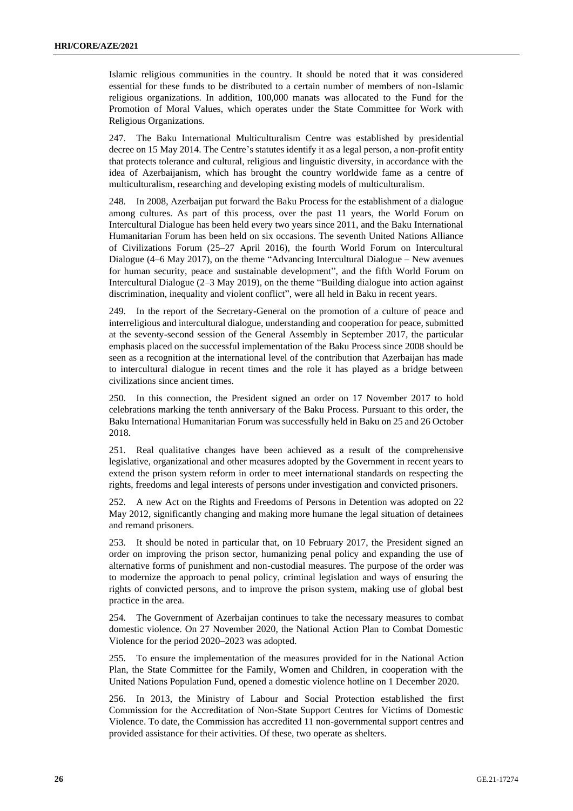Islamic religious communities in the country. It should be noted that it was considered essential for these funds to be distributed to a certain number of members of non-Islamic religious organizations. In addition, 100,000 manats was allocated to the Fund for the Promotion of Moral Values, which operates under the State Committee for Work with Religious Organizations.

247. The Baku International Multiculturalism Centre was established by presidential decree on 15 May 2014. The Centre's statutes identify it as a legal person, a non-profit entity that protects tolerance and cultural, religious and linguistic diversity, in accordance with the idea of Azerbaijanism, which has brought the country worldwide fame as a centre of multiculturalism, researching and developing existing models of multiculturalism.

248. In 2008, Azerbaijan put forward the Baku Process for the establishment of a dialogue among cultures. As part of this process, over the past 11 years, the World Forum on Intercultural Dialogue has been held every two years since 2011, and the Baku International Humanitarian Forum has been held on six occasions. The seventh United Nations Alliance of Civilizations Forum (25–27 April 2016), the fourth World Forum on Intercultural Dialogue (4–6 May 2017), on the theme "Advancing Intercultural Dialogue – New avenues for human security, peace and sustainable development", and the fifth World Forum on Intercultural Dialogue (2–3 May 2019), on the theme "Building dialogue into action against discrimination, inequality and violent conflict", were all held in Baku in recent years.

249. In the report of the Secretary-General on the promotion of a culture of peace and interreligious and intercultural dialogue, understanding and cooperation for peace, submitted at the seventy-second session of the General Assembly in September 2017, the particular emphasis placed on the successful implementation of the Baku Process since 2008 should be seen as a recognition at the international level of the contribution that Azerbaijan has made to intercultural dialogue in recent times and the role it has played as a bridge between civilizations since ancient times.

250. In this connection, the President signed an order on 17 November 2017 to hold celebrations marking the tenth anniversary of the Baku Process. Pursuant to this order, the Baku International Humanitarian Forum was successfully held in Baku on 25 and 26 October 2018.

251. Real qualitative changes have been achieved as a result of the comprehensive legislative, organizational and other measures adopted by the Government in recent years to extend the prison system reform in order to meet international standards on respecting the rights, freedoms and legal interests of persons under investigation and convicted prisoners.

252. A new Act on the Rights and Freedoms of Persons in Detention was adopted on 22 May 2012, significantly changing and making more humane the legal situation of detainees and remand prisoners.

253. It should be noted in particular that, on 10 February 2017, the President signed an order on improving the prison sector, humanizing penal policy and expanding the use of alternative forms of punishment and non-custodial measures. The purpose of the order was to modernize the approach to penal policy, criminal legislation and ways of ensuring the rights of convicted persons, and to improve the prison system, making use of global best practice in the area.

254. The Government of Azerbaijan continues to take the necessary measures to combat domestic violence. On 27 November 2020, the National Action Plan to Combat Domestic Violence for the period 2020–2023 was adopted.

255. To ensure the implementation of the measures provided for in the National Action Plan, the State Committee for the Family, Women and Children, in cooperation with the United Nations Population Fund, opened a domestic violence hotline on 1 December 2020.

256. In 2013, the Ministry of Labour and Social Protection established the first Commission for the Accreditation of Non-State Support Centres for Victims of Domestic Violence. To date, the Commission has accredited 11 non-governmental support centres and provided assistance for their activities. Of these, two operate as shelters.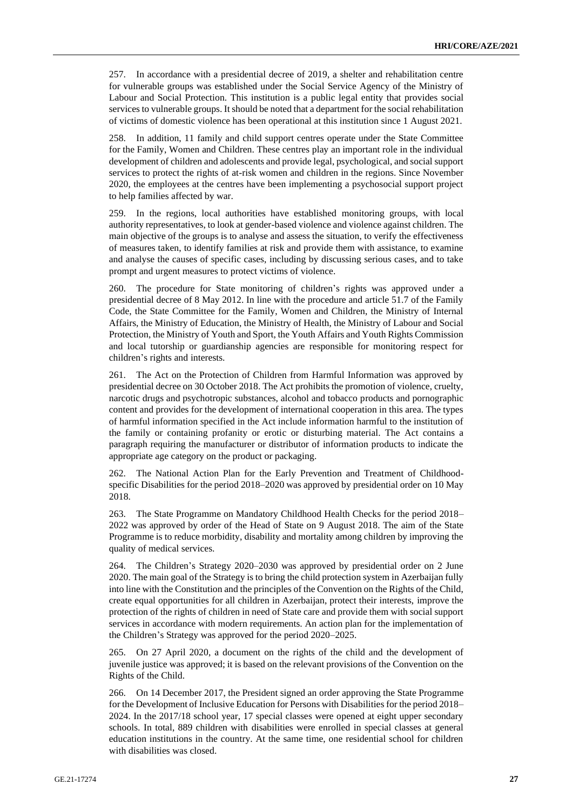257. In accordance with a presidential decree of 2019, a shelter and rehabilitation centre for vulnerable groups was established under the Social Service Agency of the Ministry of Labour and Social Protection. This institution is a public legal entity that provides social services to vulnerable groups. It should be noted that a department for the social rehabilitation of victims of domestic violence has been operational at this institution since 1 August 2021.

258. In addition, 11 family and child support centres operate under the State Committee for the Family, Women and Children. These centres play an important role in the individual development of children and adolescents and provide legal, psychological, and social support services to protect the rights of at-risk women and children in the regions. Since November 2020, the employees at the centres have been implementing a psychosocial support project to help families affected by war.

259. In the regions, local authorities have established monitoring groups, with local authority representatives, to look at gender-based violence and violence against children. The main objective of the groups is to analyse and assess the situation, to verify the effectiveness of measures taken, to identify families at risk and provide them with assistance, to examine and analyse the causes of specific cases, including by discussing serious cases, and to take prompt and urgent measures to protect victims of violence.

260. The procedure for State monitoring of children's rights was approved under a presidential decree of 8 May 2012. In line with the procedure and article 51.7 of the Family Code, the State Committee for the Family, Women and Children, the Ministry of Internal Affairs, the Ministry of Education, the Ministry of Health, the Ministry of Labour and Social Protection, the Ministry of Youth and Sport, the Youth Affairs and Youth Rights Commission and local tutorship or guardianship agencies are responsible for monitoring respect for children's rights and interests.

261. The Act on the Protection of Children from Harmful Information was approved by presidential decree on 30 October 2018. The Act prohibits the promotion of violence, cruelty, narcotic drugs and psychotropic substances, alcohol and tobacco products and pornographic content and provides for the development of international cooperation in this area. The types of harmful information specified in the Act include information harmful to the institution of the family or containing profanity or erotic or disturbing material. The Act contains a paragraph requiring the manufacturer or distributor of information products to indicate the appropriate age category on the product or packaging.

262. The National Action Plan for the Early Prevention and Treatment of Childhoodspecific Disabilities for the period 2018–2020 was approved by presidential order on 10 May 2018.

263. The State Programme on Mandatory Childhood Health Checks for the period 2018– 2022 was approved by order of the Head of State on 9 August 2018. The aim of the State Programme is to reduce morbidity, disability and mortality among children by improving the quality of medical services.

264. The Children's Strategy 2020–2030 was approved by presidential order on 2 June 2020. The main goal of the Strategy is to bring the child protection system in Azerbaijan fully into line with the Constitution and the principles of the Convention on the Rights of the Child, create equal opportunities for all children in Azerbaijan, protect their interests, improve the protection of the rights of children in need of State care and provide them with social support services in accordance with modern requirements. An action plan for the implementation of the Children's Strategy was approved for the period 2020–2025.

265. On 27 April 2020, a document on the rights of the child and the development of juvenile justice was approved; it is based on the relevant provisions of the Convention on the Rights of the Child.

266. On 14 December 2017, the President signed an order approving the State Programme for the Development of Inclusive Education for Persons with Disabilities for the period 2018– 2024. In the 2017/18 school year, 17 special classes were opened at eight upper secondary schools. In total, 889 children with disabilities were enrolled in special classes at general education institutions in the country. At the same time, one residential school for children with disabilities was closed.